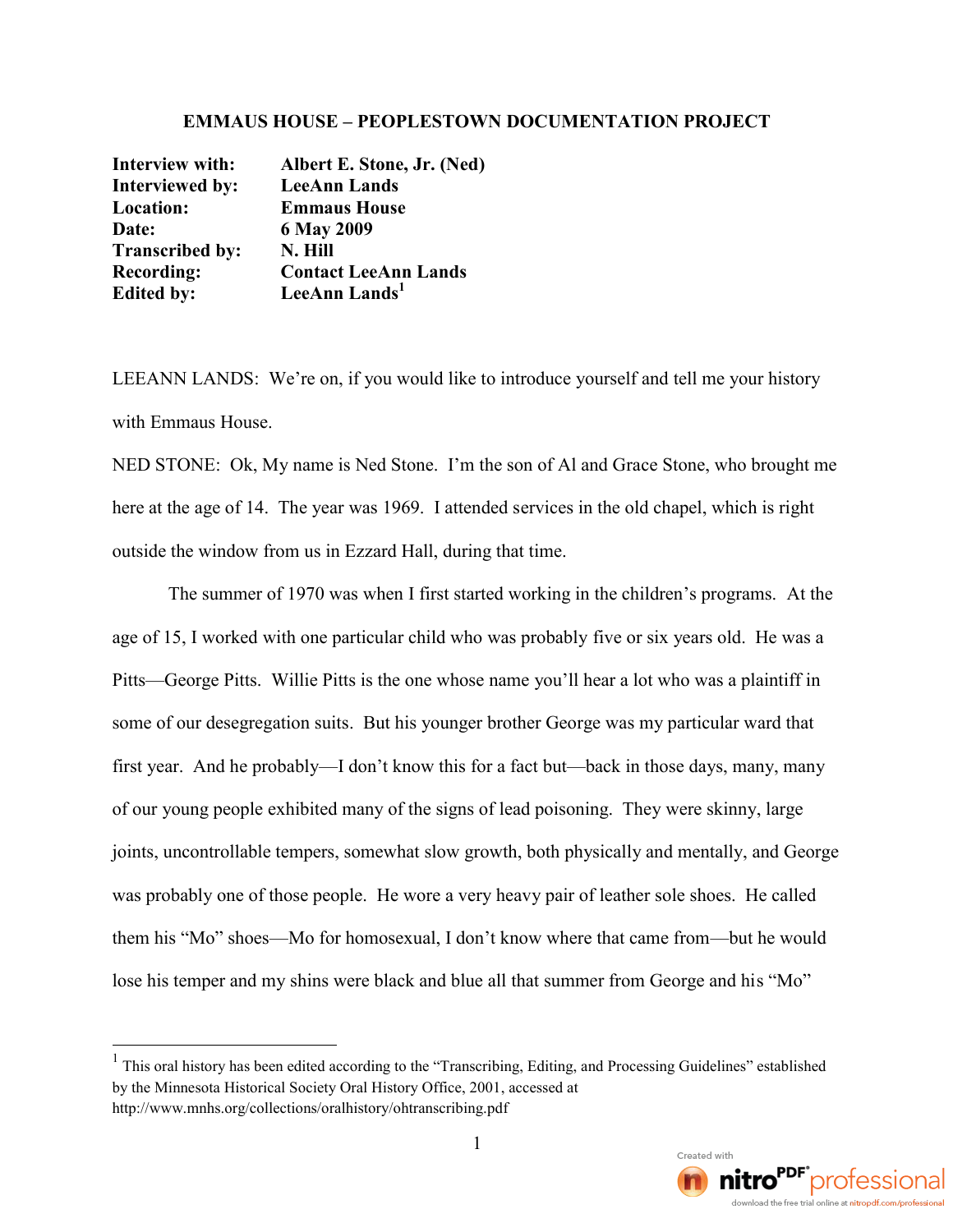## **EMMAUS HOUSE – PEOPLESTOWN DOCUMENTATION PROJECT**

| <b>Interview with:</b> | Albert E. Stone, Jr. (Ned)  |
|------------------------|-----------------------------|
| <b>Interviewed by:</b> | <b>LeeAnn Lands</b>         |
| Location:              | <b>Emmaus House</b>         |
| Date:                  | 6 May 2009                  |
| <b>Transcribed by:</b> | N. Hill                     |
| <b>Recording:</b>      | <b>Contact LeeAnn Lands</b> |
| <b>Edited by:</b>      | LeeAnn Lands <sup>1</sup>   |

LEEANN LANDS: We're on, if you would like to introduce yourself and tell me your history with Emmaus House.

NED STONE: Ok, My name is Ned Stone. I'm the son of Al and Grace Stone, who brought me here at the age of 14. The year was 1969. I attended services in the old chapel, which is right outside the window from us in Ezzard Hall, during that time.

The summer of 1970 was when I first started working in the children's programs. At the age of 15, I worked with one particular child who was probably five or six years old. He was a Pitts—George Pitts. Willie Pitts is the one whose name you'll hear a lot who was a plaintiff in some of our desegregation suits. But his younger brother George was my particular ward that first year. And he probably—I don't know this for a fact but—back in those days, many, many of our young people exhibited many of the signs of lead poisoning. They were skinny, large joints, uncontrollable tempers, somewhat slow growth, both physically and mentally, and George was probably one of those people. He wore a very heavy pair of leather sole shoes. He called them his "Mo" shoes—Mo for homosexual, I don't know where that came from—but he would lose his temper and my shins were black and blue all that summer from George and his "Mo"

<sup>&</sup>lt;sup>1</sup> This oral history has been edited according to the "Transcribing, Editing, and Processing Guidelines" established by the Minnesota Historical Society Oral History Office, 2001, accessed at http://www.mnhs.org/collections/oralhistory/ohtranscribing.pdf

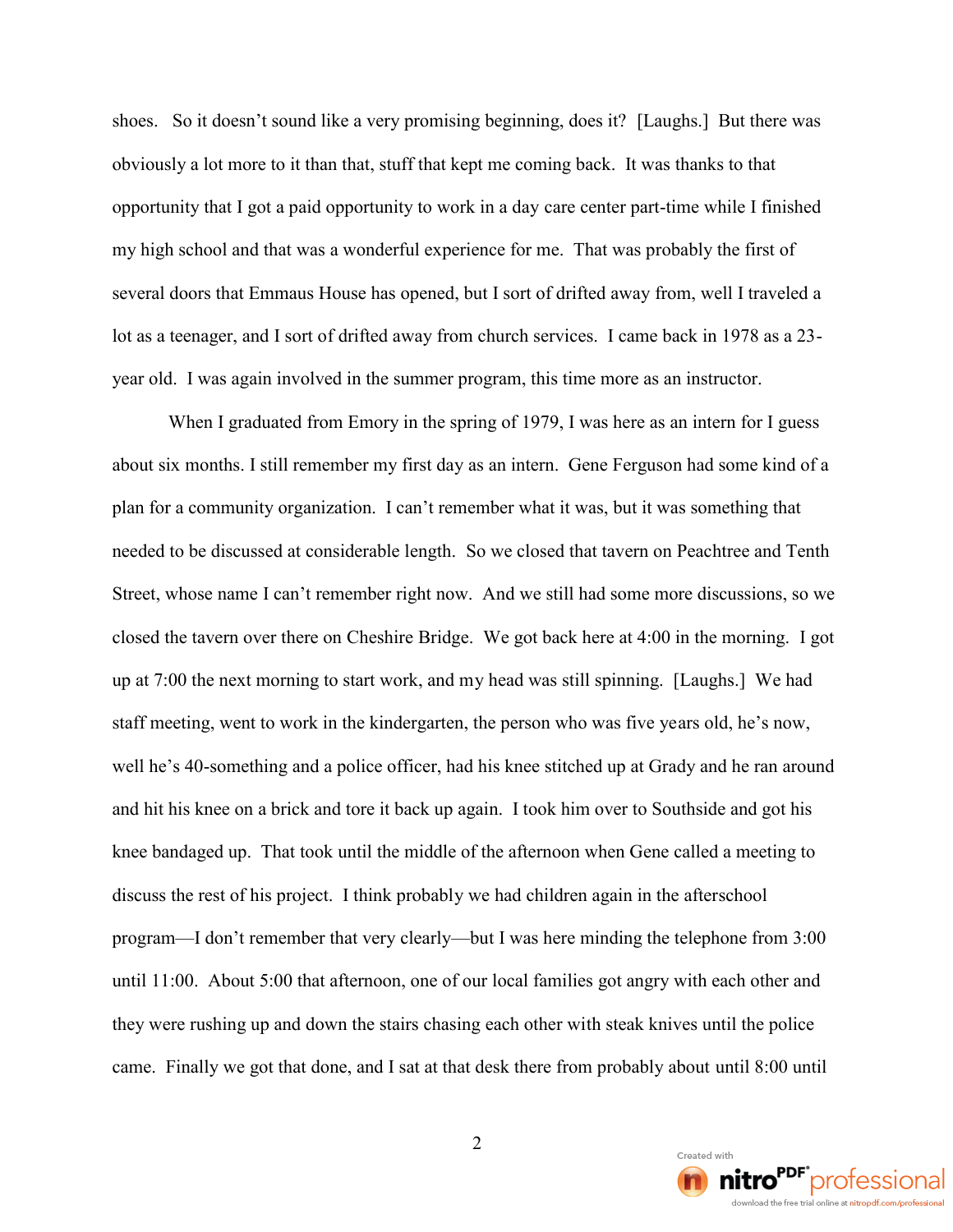shoes. So it doesn t sound like a very **baomhissum** on the ergeinwasing, do obviously a lot more to it than that, stuff that kept me coming opportunity that I got a paid opp**oare** note yn the myneganid i he al dianyished my high school and that was a wonderful experience for me. T several doors that Emmaus House has opened, but I sort of dri lot as a teenagef,danideld saow a p from church services. I came ba year old. I was again involved in the summer program, this tin

When I graduated from Emory in the spring of 1979, I was about shothmand still remember my first day as an intern. Gene I plan for a community organization. I can t remember what it w needed to be discussed at **So**nwsedelroasbed the agther veenand Freath Street, who mese I can t remembend rwight thild whad A some more discuss closed the tavern Colveshellin edge.  $\log d$  we deack here at 4:00 ligg otthe moring. up at 7:00 the next morningy t**besatda wraws os kill alsongluign min/s/we** lg had staff meeting, went to work in the kindergaartseno, Idhehopesrsnown, who well he-ssomething and a police officer, had his knee stitched u and hit his aknbere behand tore it back up again. I took him over t knee bandaged up. That took until the middle of the afternoon discuss the rest of his proyjewoet. hald the imik dpreonbad pathimo on the after progralmdon t remember thalbuxtel ywalse and ye minding the telephon until 1.1: **Bout 5:00 that afternoon**, one of our local families got they were rushing up and down the shasts adhasting seach lother pwords that is the steak and the steak and the police units until the steak and the steak and the steak and the steak and the steak and the steak and the stea came. Finally we got that done, and I sat at  $t$ ulmait l $0$ douenstkilthere fr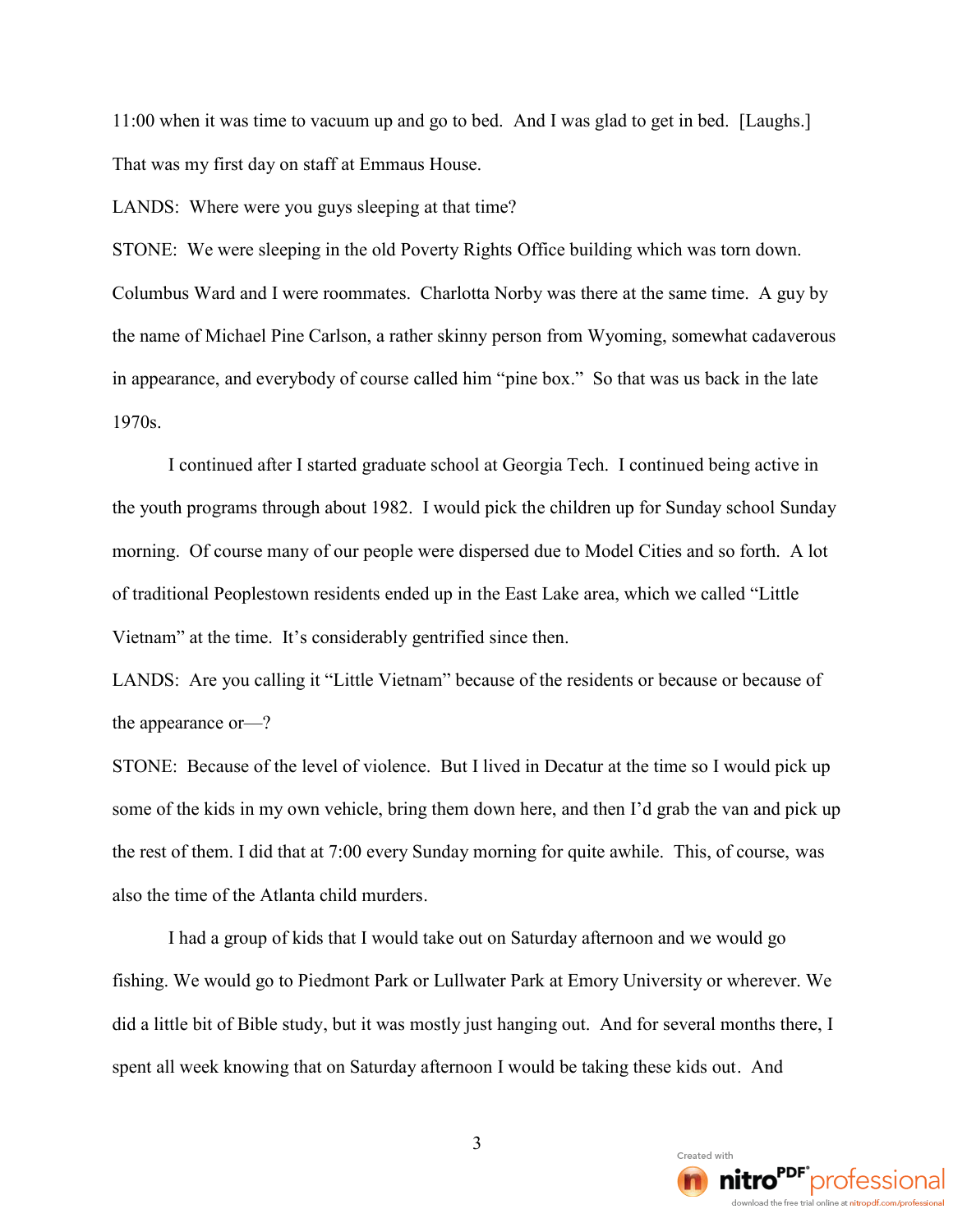11:00 when it was time to vacuum up and go to bed. And I was glad to get in bed. [Laughs.] That was my first day on staff at Emmaus House.

LANDS: Where were you guys sleeping at that time?

STONE: We were sleeping in the old Poverty Rights Office building which was torn down. Columbus Ward and I were roommates. Charlotta Norby was there at the same time. A guy by the name of Michael Pine Carlson, a rather skinny person from Wyoming, somewhat cadaverous in appearance, and everybody of course called him "pine box." So that was us back in the late 1970s.

I continued after I started graduate school at Georgia Tech. I continued being active in the youth programs through about 1982. I would pick the children up for Sunday school Sunday morning. Of course many of our people were dispersed due to Model Cities and so forth. A lot of traditional Peoplestown residents ended up in the East Lake area, which we called "Little Vietnam" at the time. It's considerably gentrified since then.

LANDS: Are you calling it "Little Vietnam" because of the residents or because or because of the appearance or—?

STONE: Because of the level of violence. But I lived in Decatur at the time so I would pick up some of the kids in my own vehicle, bring them down here, and then I'd grab the van and pick up the rest of them. I did that at 7:00 every Sunday morning for quite awhile. This, of course, was also the time of the Atlanta child murders.

I had a group of kids that I would take out on Saturday afternoon and we would go fishing. We would go to Piedmont Park or Lullwater Park at Emory University or wherever. We did a little bit of Bible study, but it was mostly just hanging out. And for several months there, I spent all week knowing that on Saturday afternoon I would be taking these kids out. And

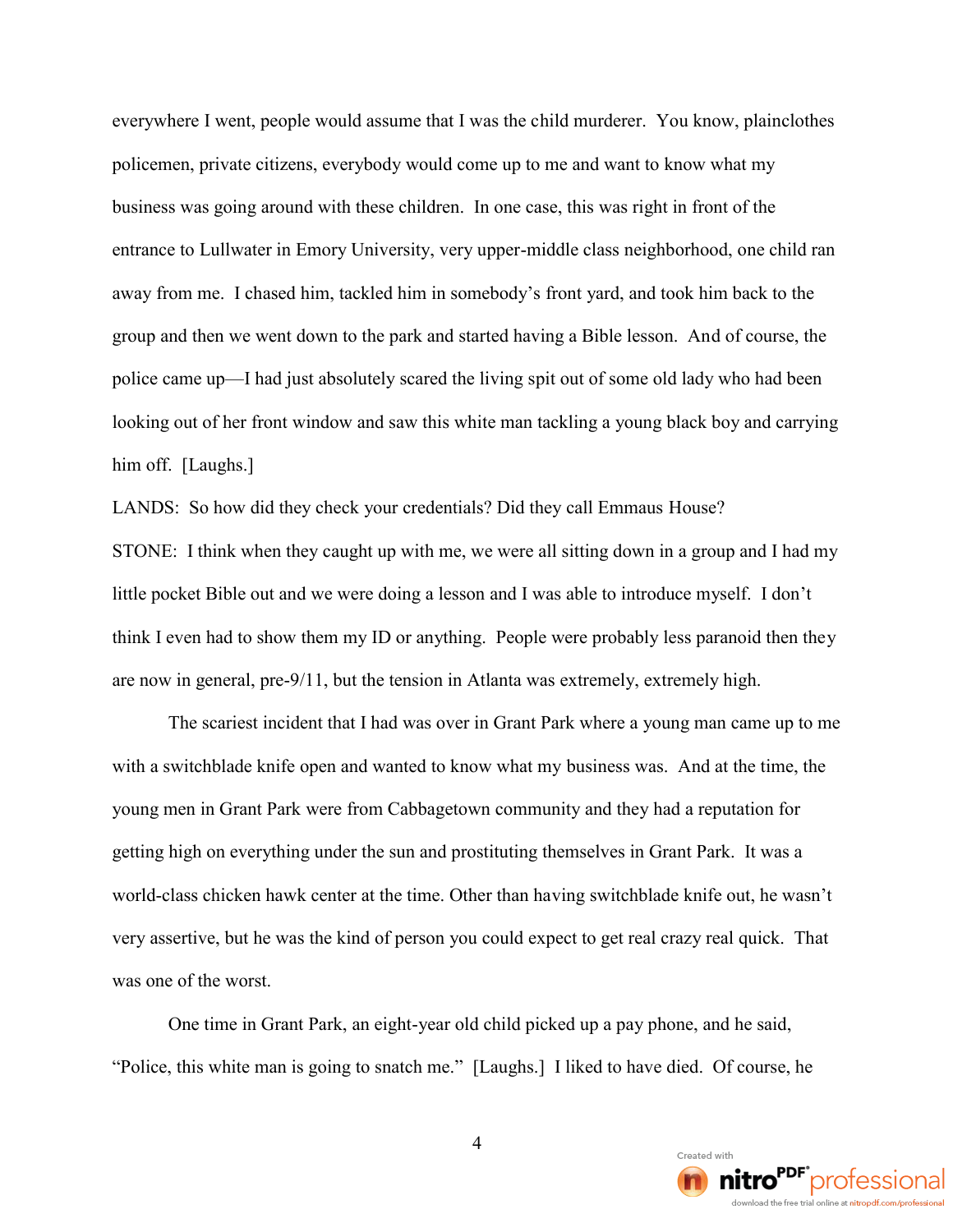everywhere I went, people would assume that I was the child murderer. You know, plainclothes policemen, private citizens, everybody would come up to me and want to know what my business was going around with these children. In one case, this was right in front of the entrance to Lullwater in Emory University, very upper-middle class neighborhood, one child ran away from me. I chased him, tackled him in somebody's front yard, and took him back to the group and then we went down to the park and started having a Bible lesson. And of course, the police came up—I had just absolutely scared the living spit out of some old lady who had been looking out of her front window and saw this white man tackling a young black boy and carrying him off. [Laughs.]

LANDS: So how did they check your credentials? Did they call Emmaus House? STONE: I think when they caught up with me, we were all sitting down in a group and I had my little pocket Bible out and we were doing a lesson and I was able to introduce myself. I don't think I even had to show them my ID or anything. People were probably less paranoid then they are now in general, pre-9/11, but the tension in Atlanta was extremely, extremely high.

The scariest incident that I had was over in Grant Park where a young man came up to me with a switchblade knife open and wanted to know what my business was. And at the time, the young men in Grant Park were from Cabbagetown community and they had a reputation for getting high on everything under the sun and prostituting themselves in Grant Park. It was a world-class chicken hawk center at the time. Other than having switchblade knife out, he wasn't very assertive, but he was the kind of person you could expect to get real crazy real quick. That was one of the worst.

One time in Grant Park, an eight-year old child picked up a pay phone, and he said, "Police, this white man is going to snatch me." [Laughs.] I liked to have died. Of course, he

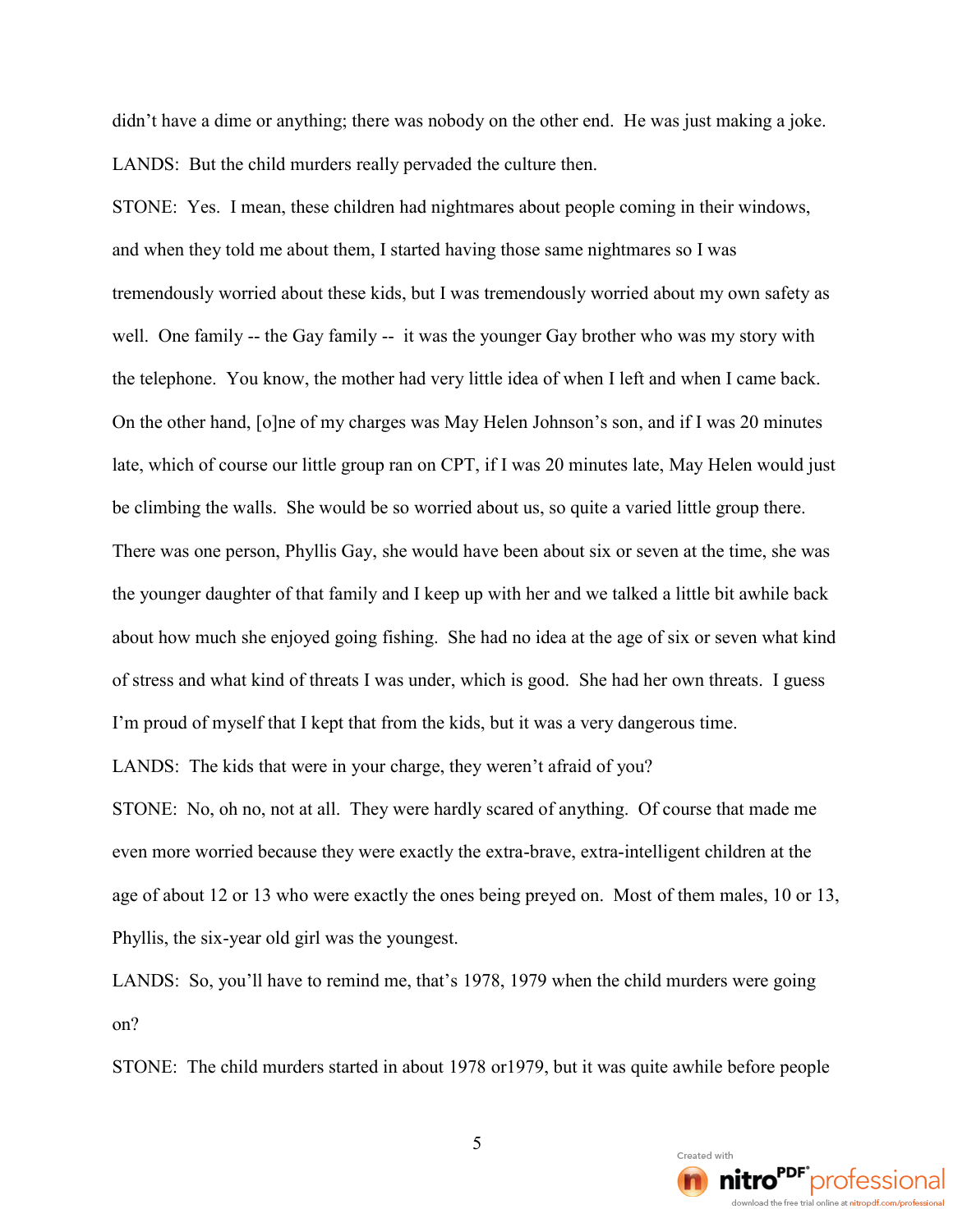didn't have a dime or anything; there was nobody on the other end. He was just making a joke. LANDS: But the child murders really pervaded the culture then.

STONE: Yes. I mean, these children had nightmares about people coming in their windows, and when they told me about them, I started having those same nightmares so I was tremendously worried about these kids, but I was tremendously worried about my own safety as well. One family -- the Gay family -- it was the younger Gay brother who was my story with the telephone. You know, the mother had very little idea of when I left and when I came back. On the other hand, [o]ne of my charges was May Helen Johnson's son, and if I was 20 minutes late, which of course our little group ran on CPT, if I was 20 minutes late, May Helen would just be climbing the walls. She would be so worried about us, so quite a varied little group there. There was one person, Phyllis Gay, she would have been about six or seven at the time, she was the younger daughter of that family and I keep up with her and we talked a little bit awhile back about how much she enjoyed going fishing. She had no idea at the age of six or seven what kind of stress and what kind of threats I was under, which is good. She had her own threats. I guess I'm proud of myself that I kept that from the kids, but it was a very dangerous time. LANDS: The kids that were in your charge, they weren't afraid of you?

STONE: No, oh no, not at all. They were hardly scared of anything. Of course that made me even more worried because they were exactly the extra-brave, extra-intelligent children at the age of about 12 or 13 who were exactly the ones being preyed on. Most of them males, 10 or 13, Phyllis, the six-year old girl was the youngest.

LANDS: So, you'll have to remind me, that's 1978, 1979 when the child murders were going on?

STONE: The child murders started in about 1978 or1979, but it was quite awhile before people

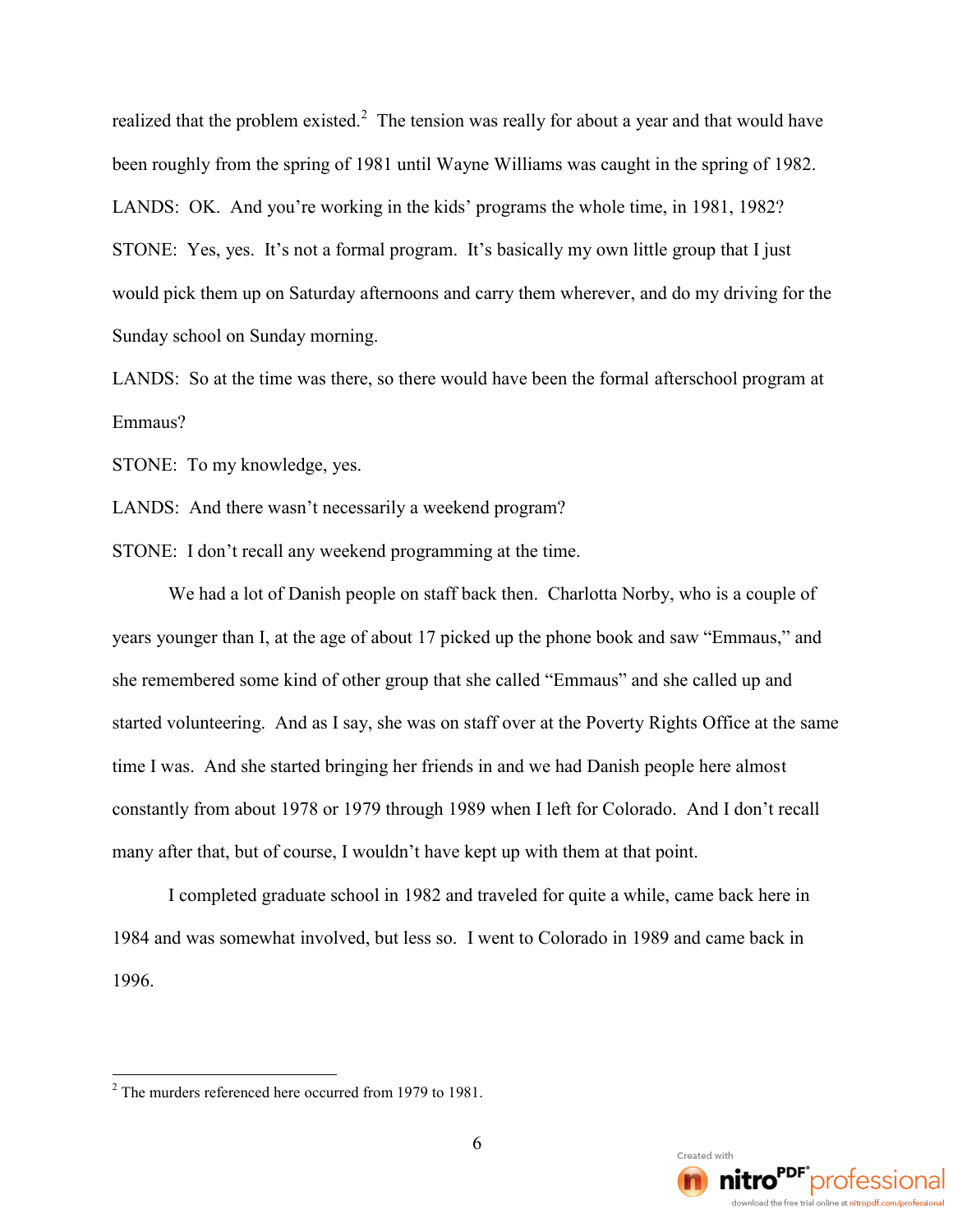realized that the problem existed.<sup>2</sup> The tension was really for about a year and that would have been roughly from the spring of 1981 until Wayne Williams was caught in the spring of 1982. LANDS: OK. And you're working in the kids' programs the whole time, in 1981, 1982? STONE: Yes, yes. It's not a formal program. It's basically my own little group that I just would pick them up on Saturday afternoons and carry them wherever, and do my driving for the Sunday school on Sunday morning.

LANDS: So at the time was there, so there would have been the formal afterschool program at Emmaus?

STONE: To my knowledge, yes.

LANDS: And there wasn't necessarily a weekend program?

STONE: I don't recall any weekend programming at the time.

We had a lot of Danish people on staff back then. Charlotta Norby, who is a couple of years younger than I, at the age of about 17 picked up the phone book and saw "Emmaus," and she remembered some kind of other group that she called "Emmaus" and she called up and started volunteering. And as I say, she was on staff over at the Poverty Rights Office at the same time I was. And she started bringing her friends in and we had Danish people here almost constantly from about 1978 or 1979 through 1989 when I left for Colorado. And I don't recall many after that, but of course, I wouldn't have kept up with them at that point.

I completed graduate school in 1982 and traveled for quite a while, came back here in 1984 and was somewhat involved, but less so. I went to Colorado in 1989 and came back in 1996.



<sup>&</sup>lt;sup>2</sup> The murders referenced here occurred from 1979 to 1981.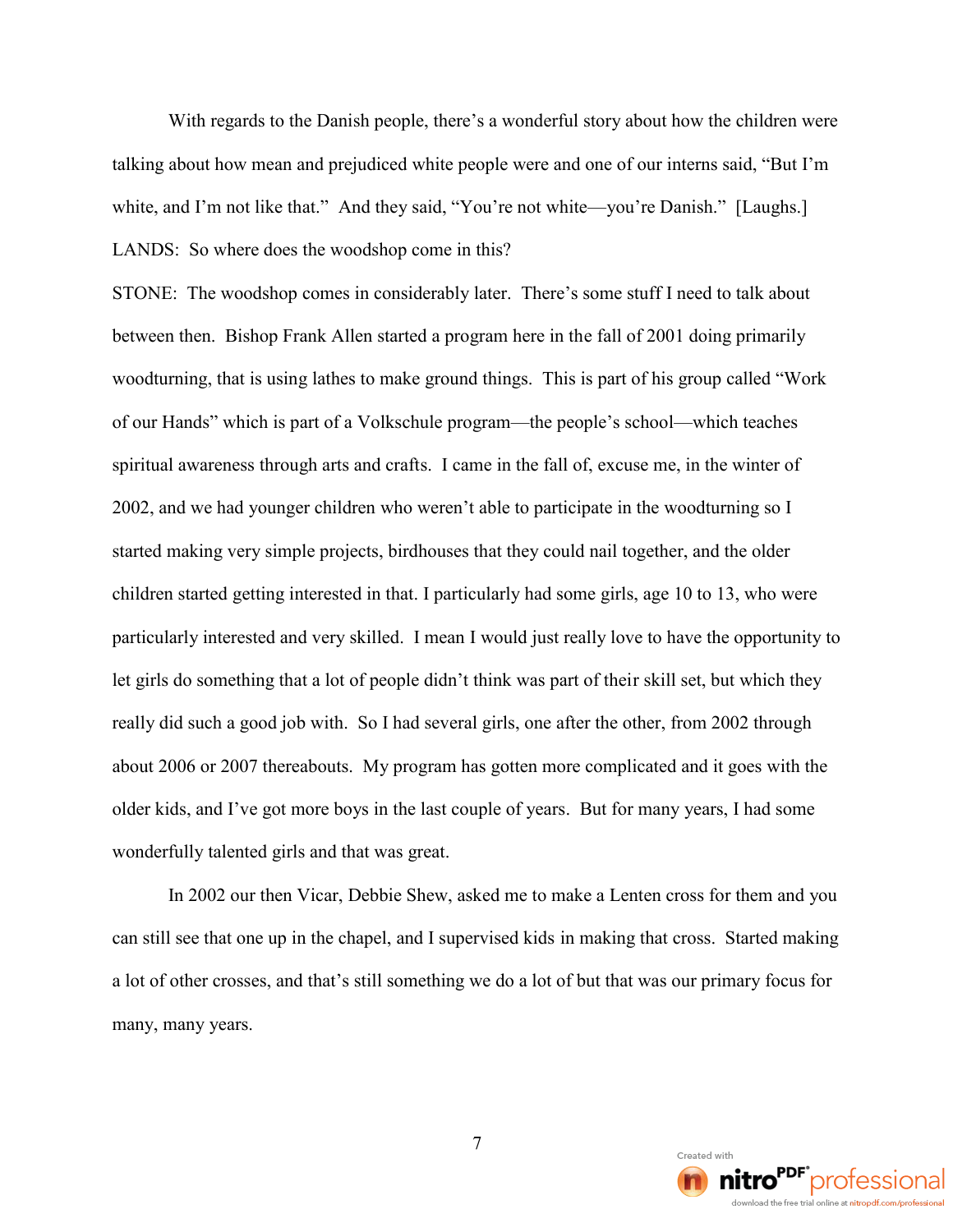With regards to the Danish people, there's a wonderful story about how the children were talking about how mean and prejudiced white people were and one of our interns said, "But I'm white, and I'm not like that." And they said, "You're not white—you're Danish." [Laughs.] LANDS: So where does the woodshop come in this?

STONE: The woodshop comes in considerably later. There's some stuff I need to talk about between then. Bishop Frank Allen started a program here in the fall of 2001 doing primarily woodturning, that is using lathes to make ground things. This is part of his group called "Work of our Hands" which is part of a Volkschule program—the people's school—which teaches spiritual awareness through arts and crafts. I came in the fall of, excuse me, in the winter of 2002, and we had younger children who weren't able to participate in the woodturning so I started making very simple projects, birdhouses that they could nail together, and the older children started getting interested in that. I particularly had some girls, age 10 to 13, who were particularly interested and very skilled. I mean I would just really love to have the opportunity to let girls do something that a lot of people didn't think was part of their skill set, but which they really did such a good job with. So I had several girls, one after the other, from 2002 through about 2006 or 2007 thereabouts. My program has gotten more complicated and it goes with the older kids, and I've got more boys in the last couple of years. But for many years, I had some wonderfully talented girls and that was great.

In 2002 our then Vicar, Debbie Shew, asked me to make a Lenten cross for them and you can still see that one up in the chapel, and I supervised kids in making that cross. Started making a lot of other crosses, and that's still something we do a lot of but that was our primary focus for many, many years.

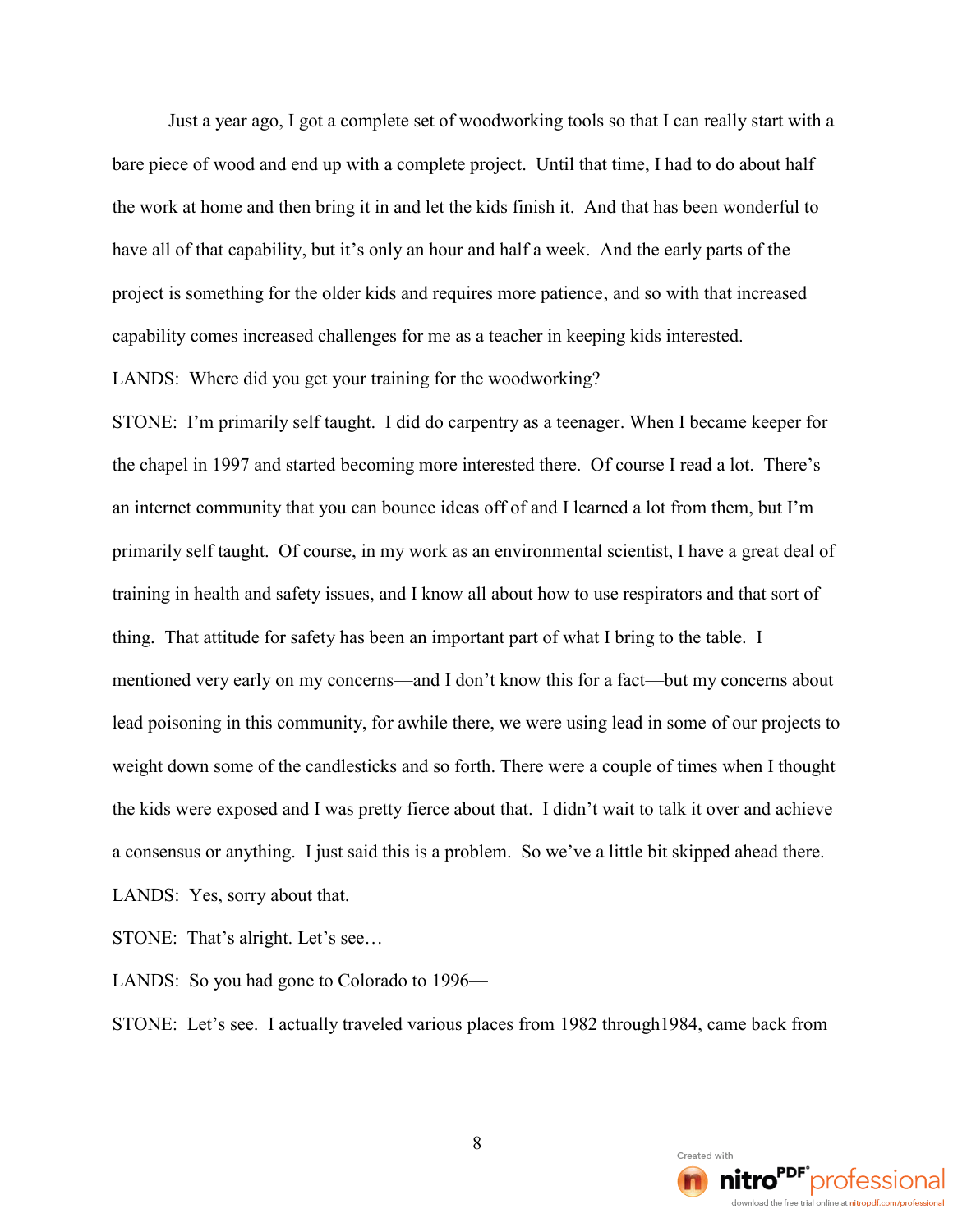Just a year ago, I got a complete set of woodworking tools so that I can really start with a bare piece of wood and end up with a complete project. Until that time, I had to do about half the work at home and then bring it in and let the kids finish it. And that has been wonderful to have all of that capability, but it's only an hour and half a week. And the early parts of the project is something for the older kids and requires more patience, and so with that increased capability comes increased challenges for me as a teacher in keeping kids interested.

LANDS: Where did you get your training for the woodworking?

STONE: I'm primarily self taught. I did do carpentry as a teenager. When I became keeper for the chapel in 1997 and started becoming more interested there. Of course I read a lot. There's an internet community that you can bounce ideas off of and I learned a lot from them, but I'm primarily self taught. Of course, in my work as an environmental scientist, I have a great deal of training in health and safety issues, and I know all about how to use respirators and that sort of thing. That attitude for safety has been an important part of what I bring to the table. I mentioned very early on my concerns—and I don't know this for a fact—but my concerns about lead poisoning in this community, for awhile there, we were using lead in some of our projects to weight down some of the candlesticks and so forth. There were a couple of times when I thought the kids were exposed and I was pretty fierce about that. I didn't wait to talk it over and achieve a consensus or anything. I just said this is a problem. So we've a little bit skipped ahead there.

LANDS: Yes, sorry about that.

STONE: That's alright. Let's see...

LANDS: So you had gone to Colorado to 1996—

STONE: Let's see. I actually traveled various places from 1982 through1984, came back from

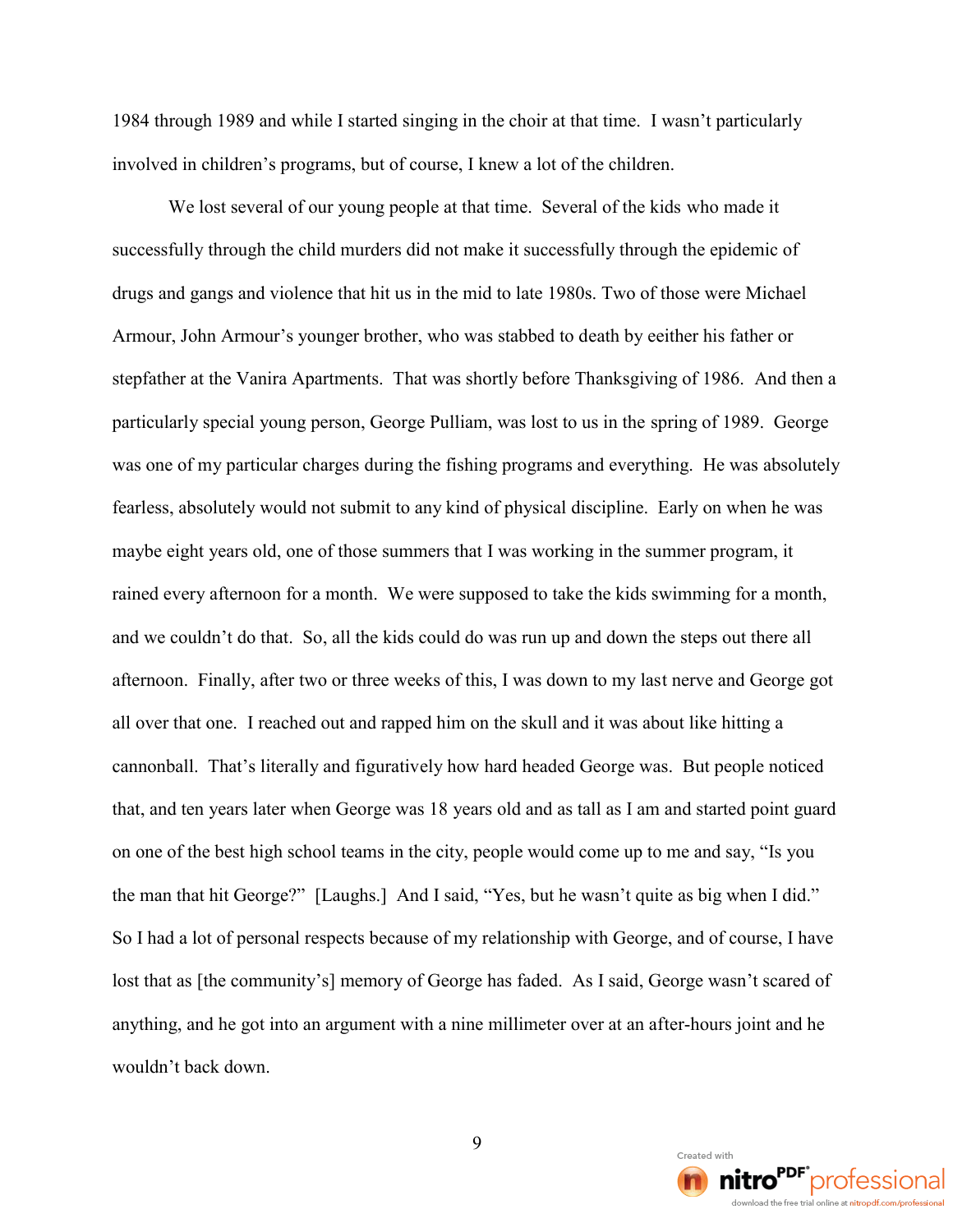1984 through 1989 and while I started singing in the choir at that time. I wasn't particularly involved in children's programs, but of course, I knew a lot of the children.

We lost several of our young people at that time. Several of the kids who made it successfully through the child murders did not make it successfully through the epidemic of drugs and gangs and violence that hit us in the mid to late 1980s. Two of those were Michael Armour, John Armour's younger brother, who was stabbed to death by eeither his father or stepfather at the Vanira Apartments. That was shortly before Thanksgiving of 1986. And then a particularly special young person, George Pulliam, was lost to us in the spring of 1989. George was one of my particular charges during the fishing programs and everything. He was absolutely fearless, absolutely would not submit to any kind of physical discipline. Early on when he was maybe eight years old, one of those summers that I was working in the summer program, it rained every afternoon for a month. We were supposed to take the kids swimming for a month, and we couldn't do that. So, all the kids could do was run up and down the steps out there all afternoon. Finally, after two or three weeks of this, I was down to my last nerve and George got all over that one. I reached out and rapped him on the skull and it was about like hitting a cannonball. That's literally and figuratively how hard headed George was. But people noticed that, and ten years later when George was 18 years old and as tall as I am and started point guard on one of the best high school teams in the city, people would come up to me and say, "Is you the man that hit George?" [Laughs.] And I said, "Yes, but he wasn't quite as big when I did." So I had a lot of personal respects because of my relationship with George, and of course, I have lost that as [the community's] memory of George has faded. As I said, George wasn't scared of anything, and he got into an argument with a nine millimeter over at an after-hours joint and he wouldn't back down.

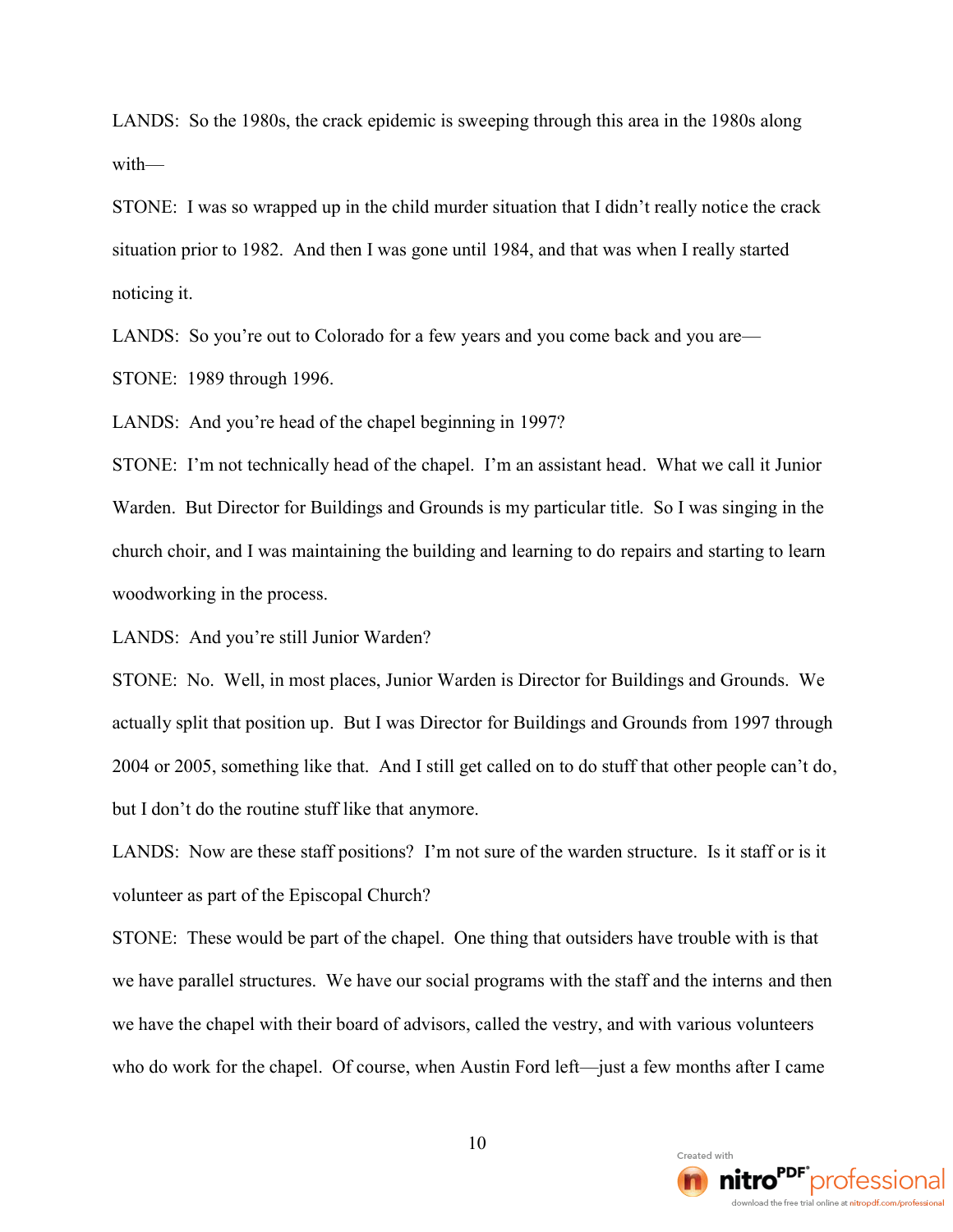LANDS: So the 1980s, the crack epidemic is sweeping through this area in the 1980s along with—

STONE: I was so wrapped up in the child murder situation that I didn't really notice the crack situation prior to 1982. And then I was gone until 1984, and that was when I really started noticing it.

LANDS: So you're out to Colorado for a few years and you come back and you are—

STONE: 1989 through 1996.

LANDS: And you're head of the chapel beginning in 1997?

STONE: I'm not technically head of the chapel. I'm an assistant head. What we call it Junior Warden. But Director for Buildings and Grounds is my particular title. So I was singing in the church choir, and I was maintaining the building and learning to do repairs and starting to learn woodworking in the process.

LANDS: And you're still Junior Warden?

STONE: No. Well, in most places, Junior Warden is Director for Buildings and Grounds. We actually split that position up. But I was Director for Buildings and Grounds from 1997 through 2004 or 2005, something like that. And I still get called on to do stuff that other people can't do, but I don't do the routine stuff like that anymore.

LANDS: Now are these staff positions? I'm not sure of the warden structure. Is it staff or is it volunteer as part of the Episcopal Church?

STONE: These would be part of the chapel. One thing that outsiders have trouble with is that we have parallel structures. We have our social programs with the staff and the interns and then we have the chapel with their board of advisors, called the vestry, and with various volunteers who do work for the chapel. Of course, when Austin Ford left—just a few months after I came

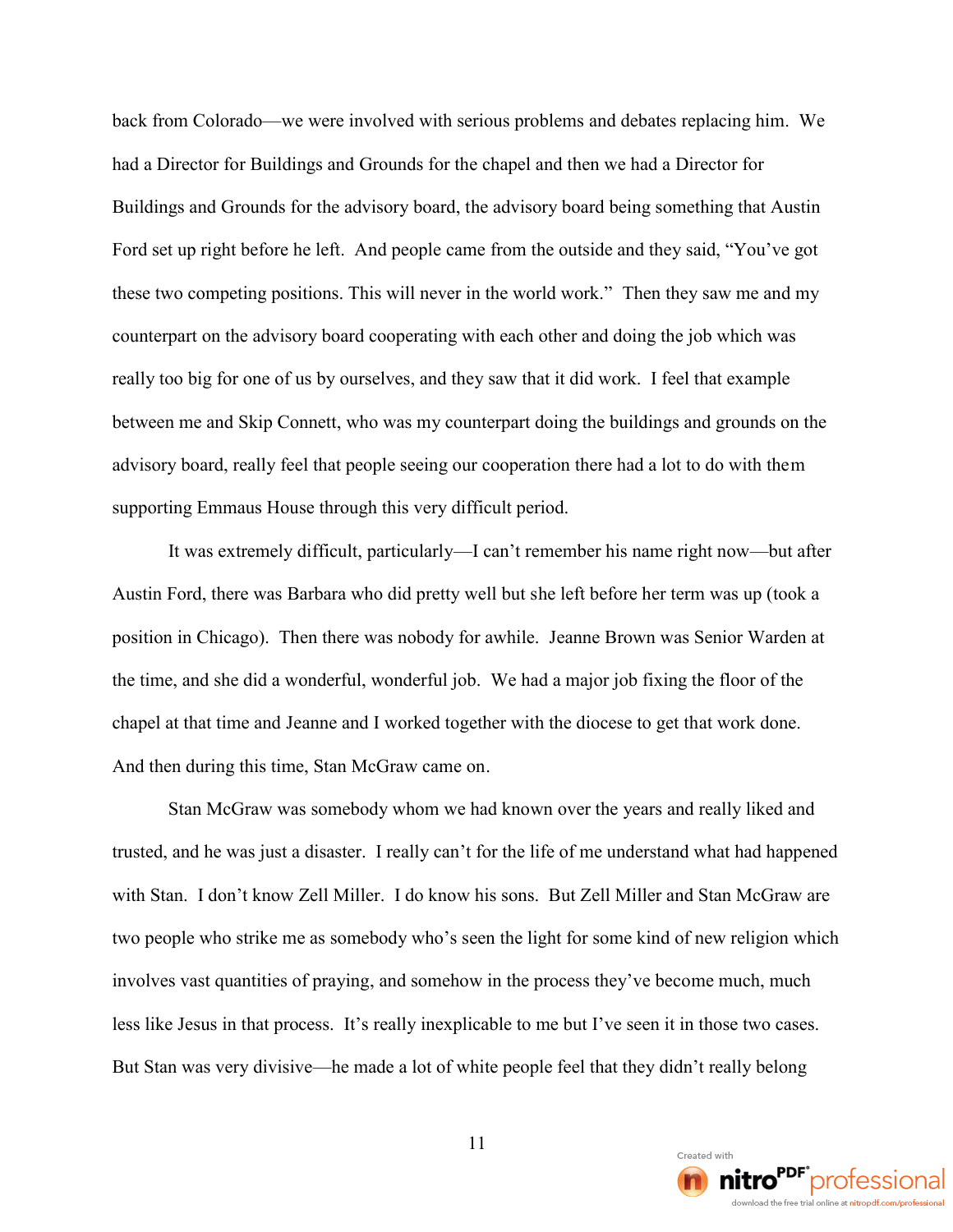back from Colorado—we were involved with serious problems and debates replacing him. We had a Director for Buildings and Grounds for the chapel and then we had a Director for Buildings and Grounds for the advisory board, the advisory board being something that Austin Ford set up right before he left. And people came from the outside and they said, "You've got these two competing positions. This will never in the world work." Then they saw me and my counterpart on the advisory board cooperating with each other and doing the job which was really too big for one of us by ourselves, and they saw that it did work. I feel that example between me and Skip Connett, who was my counterpart doing the buildings and grounds on the advisory board, really feel that people seeing our cooperation there had a lot to do with them supporting Emmaus House through this very difficult period.

It was extremely difficult, particularly—I can't remember his name right now—but after Austin Ford, there was Barbara who did pretty well but she left before her term was up (took a position in Chicago). Then there was nobody for awhile. Jeanne Brown was Senior Warden at the time, and she did a wonderful, wonderful job. We had a major job fixing the floor of the chapel at that time and Jeanne and I worked together with the diocese to get that work done. And then during this time, Stan McGraw came on.

Stan McGraw was somebody whom we had known over the years and really liked and trusted, and he was just a disaster. I really can't for the life of me understand what had happened with Stan. I don't know Zell Miller. I do know his sons. But Zell Miller and Stan McGraw are two people who strike me as somebody who's seen the light for some kind of new religion which involves vast quantities of praying, and somehow in the process they've become much, much less like Jesus in that process. It's really inexplicable to me but I've seen it in those two cases. But Stan was very divisive—he made a lot of white people feel that they didn't really belong

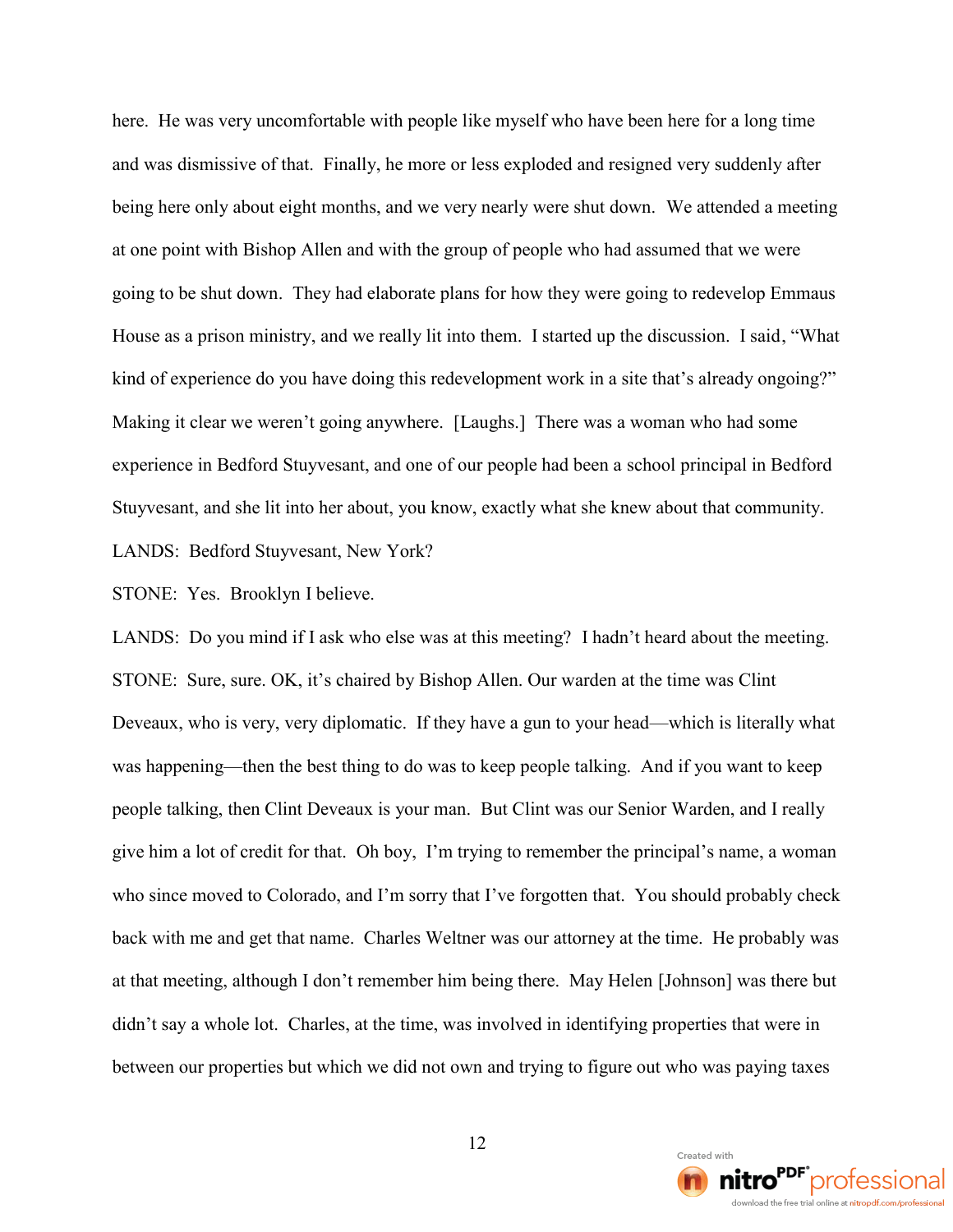here. He was very uncomfortable with people like myself who have been here for a long time and was dismissive of that. Finally, he more or less exploded and resigned very suddenly after being here only about eight months, and we very nearly were shut down. We attended a meeting at one point with Bishop Allen and with the group of people who had assumed that we were going to be shut down. They had elaborate plans for how they were going to redevelop Emmaus House as a prison ministry, and we really lit into them. I started up the discussion. I said, "What kind of experience do you have doing this redevelopment work in a site that's already ongoing?" Making it clear we weren't going anywhere. [Laughs.] There was a woman who had some experience in Bedford Stuyvesant, and one of our people had been a school principal in Bedford Stuyvesant, and she lit into her about, you know, exactly what she knew about that community. LANDS: Bedford Stuyvesant, New York?

STONE: Yes. Brooklyn I believe.

LANDS: Do you mind if I ask who else was at this meeting? I hadn't heard about the meeting. STONE: Sure, sure. OK, it's chaired by Bishop Allen. Our warden at the time was Clint Deveaux, who is very, very diplomatic. If they have a gun to your head—which is literally what was happening—then the best thing to do was to keep people talking. And if you want to keep people talking, then Clint Deveaux is your man. But Clint was our Senior Warden, and I really give him a lot of credit for that. Oh boy, I'm trying to remember the principal's name, a woman who since moved to Colorado, and I'm sorry that I've forgotten that. You should probably check back with me and get that name. Charles Weltner was our attorney at the time. He probably was at that meeting, although I don't remember him being there. May Helen [Johnson] was there but didn't say a whole lot. Charles, at the time, was involved in identifying properties that were in between our properties but which we did not own and trying to figure out who was paying taxes

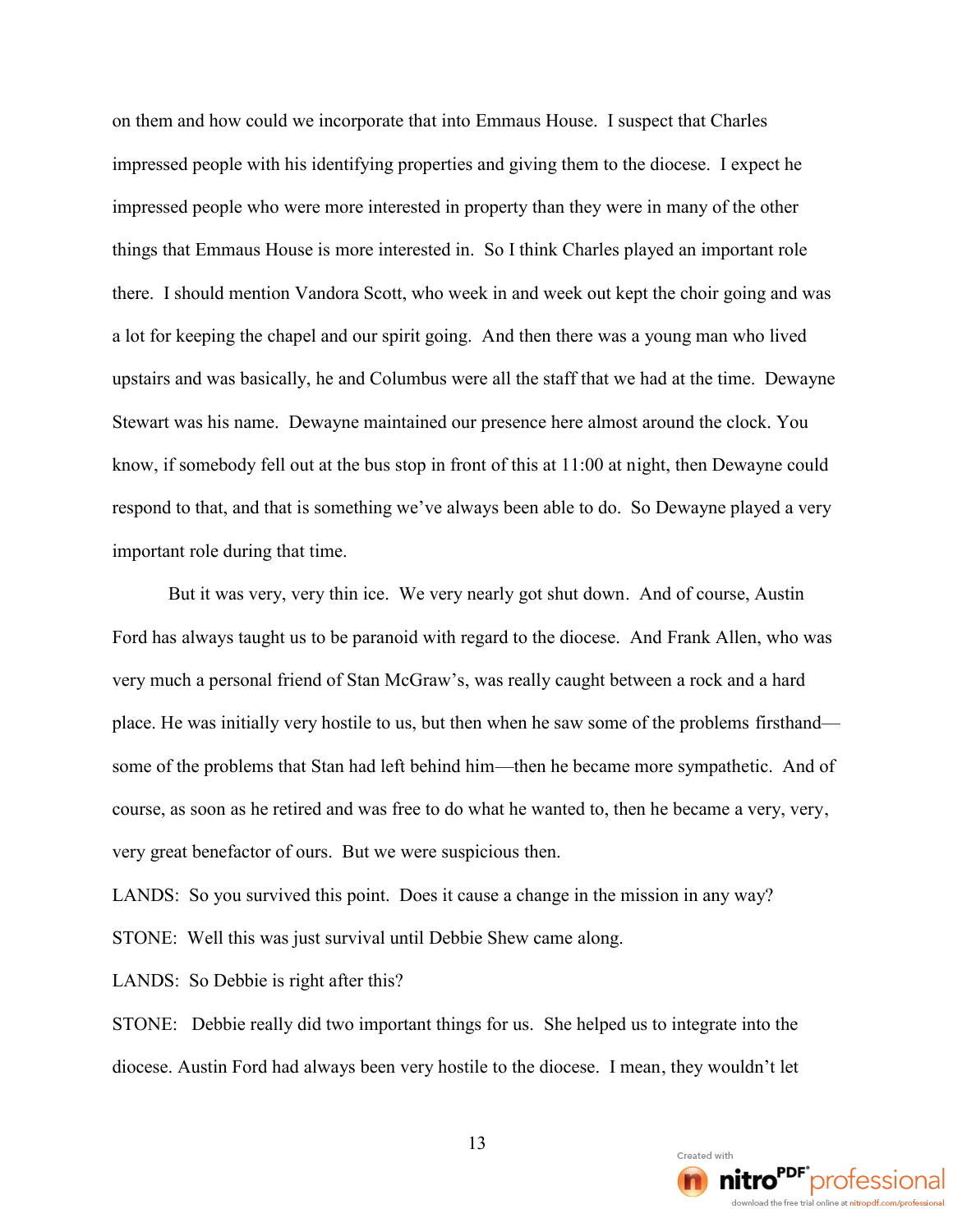on them and how could we incorporate that into Emmaus House. I suspect that Charles impressed people with his identifying properties and giving them to the diocese. I expect he impressed people who were more interested in property than they were in many of the other things that Emmaus House is more interested in. So I think Charles played an important role there. I should mention Vandora Scott, who week in and week out kept the choir going and was a lot for keeping the chapel and our spirit going. And then there was a young man who lived upstairs and was basically, he and Columbus were all the staff that we had at the time. Dewayne Stewart was his name. Dewayne maintained our presence here almost around the clock. You know, if somebody fell out at the bus stop in front of this at 11:00 at night, then Dewayne could respond to that, and that is something we've always been able to do. So Dewayne played a very important role during that time.

But it was very, very thin ice. We very nearly got shut down. And of course, Austin Ford has always taught us to be paranoid with regard to the diocese. And Frank Allen, who was very much a personal friend of Stan McGraw's, was really caught between a rock and a hard place. He was initially very hostile to us, but then when he saw some of the problems firsthand some of the problems that Stan had left behind him—then he became more sympathetic. And of course, as soon as he retired and was free to do what he wanted to, then he became a very, very, very great benefactor of ours. But we were suspicious then.

LANDS: So you survived this point. Does it cause a change in the mission in any way?

STONE: Well this was just survival until Debbie Shew came along.

LANDS: So Debbie is right after this?

STONE: Debbie really did two important things for us. She helped us to integrate into the diocese. Austin Ford had always been very hostile to the diocese. I mean, they wouldn't let

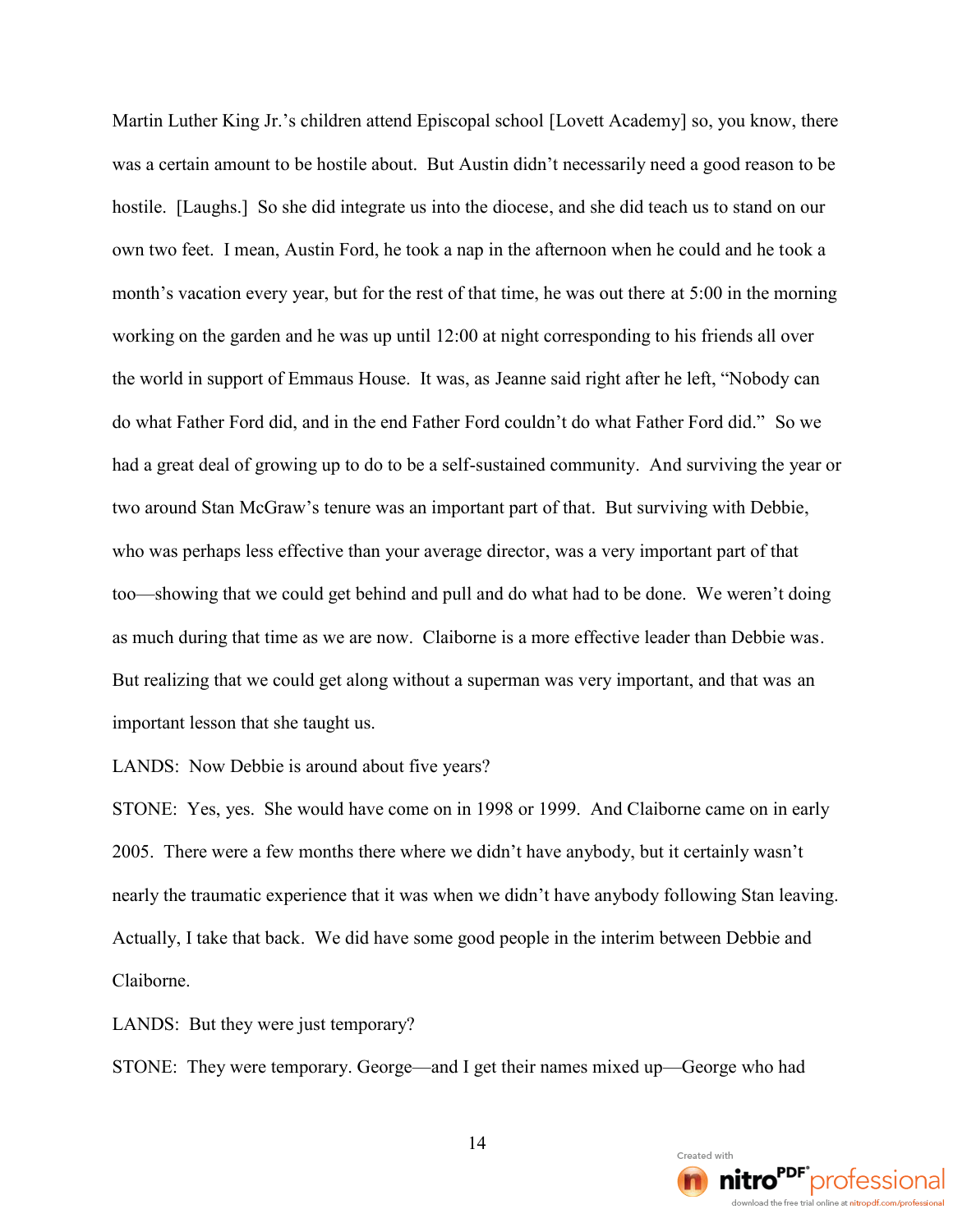Martin Luther King Jr.'s children attend Episcopal school [Lovett Academy] so, you know, there was a certain amount to be hostile about. But Austin didn't necessarily need a good reason to be hostile. [Laughs.] So she did integrate us into the diocese, and she did teach us to stand on our own two feet. I mean, Austin Ford, he took a nap in the afternoon when he could and he took a month's vacation every year, but for the rest of that time, he was out there at 5:00 in the morning working on the garden and he was up until 12:00 at night corresponding to his friends all over the world in support of Emmaus House. It was, as Jeanne said right after he left, "Nobody can do what Father Ford did, and in the end Father Ford couldn't do what Father Ford did." So we had a great deal of growing up to do to be a self-sustained community. And surviving the year or two around Stan McGraw's tenure was an important part of that. But surviving with Debbie, who was perhaps less effective than your average director, was a very important part of that too—showing that we could get behind and pull and do what had to be done. We weren't doing as much during that time as we are now. Claiborne is a more effective leader than Debbie was. But realizing that we could get along without a superman was very important, and that was an important lesson that she taught us.

LANDS: Now Debbie is around about five years?

STONE: Yes, yes. She would have come on in 1998 or 1999. And Claiborne came on in early 2005. There were a few months there where we didn't have anybody, but it certainly wasn't nearly the traumatic experience that it was when we didn't have anybody following Stan leaving. Actually, I take that back. We did have some good people in the interim between Debbie and Claiborne.

LANDS: But they were just temporary?

STONE: They were temporary. George—and I get their names mixed up—George who had

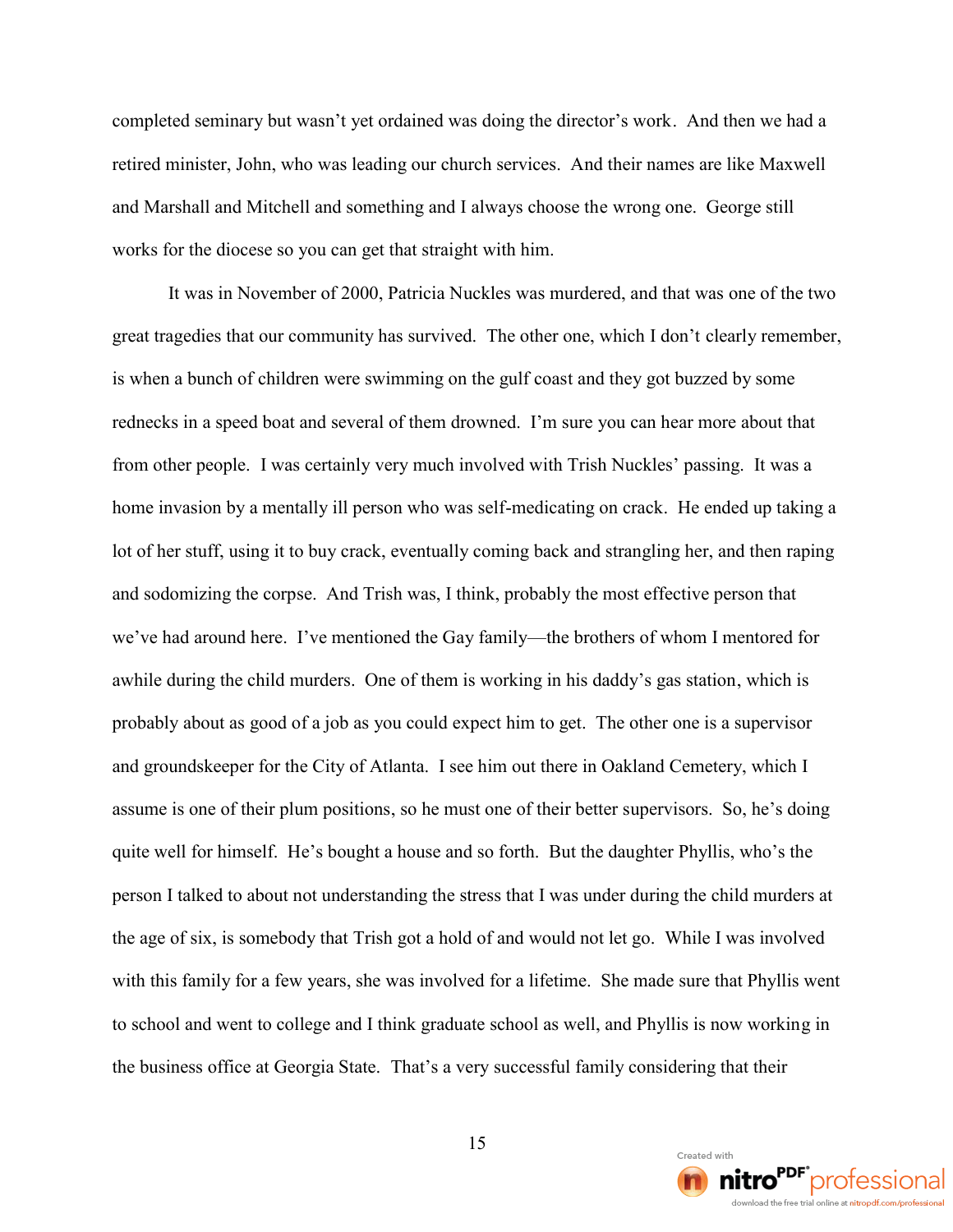completed seminary but wasn't yet ordained was doing the director's work. And then we had a retired minister, John, who was leading our church services. And their names are like Maxwell and Marshall and Mitchell and something and I always choose the wrong one. George still works for the diocese so you can get that straight with him.

It was in November of 2000, Patricia Nuckles was murdered, and that was one of the two great tragedies that our community has survived. The other one, which I don't clearly remember, is when a bunch of children were swimming on the gulf coast and they got buzzed by some rednecks in a speed boat and several of them drowned. I'm sure you can hear more about that from other people. I was certainly very much involved with Trish Nuckles' passing. It was a home invasion by a mentally ill person who was self-medicating on crack. He ended up taking a lot of her stuff, using it to buy crack, eventually coming back and strangling her, and then raping and sodomizing the corpse. And Trish was, I think, probably the most effective person that we've had around here. I've mentioned the Gay family—the brothers of whom I mentored for awhile during the child murders. One of them is working in his daddy's gas station, which is probably about as good of a job as you could expect him to get. The other one is a supervisor and groundskeeper for the City of Atlanta. I see him out there in Oakland Cemetery, which I assume is one of their plum positions, so he must one of their better supervisors. So, he's doing quite well for himself. He's bought a house and so forth. But the daughter Phyllis, who's the person I talked to about not understanding the stress that I was under during the child murders at the age of six, is somebody that Trish got a hold of and would not let go. While I was involved with this family for a few years, she was involved for a lifetime. She made sure that Phyllis went to school and went to college and I think graduate school as well, and Phyllis is now working in the business office at Georgia State. That's a very successful family considering that their

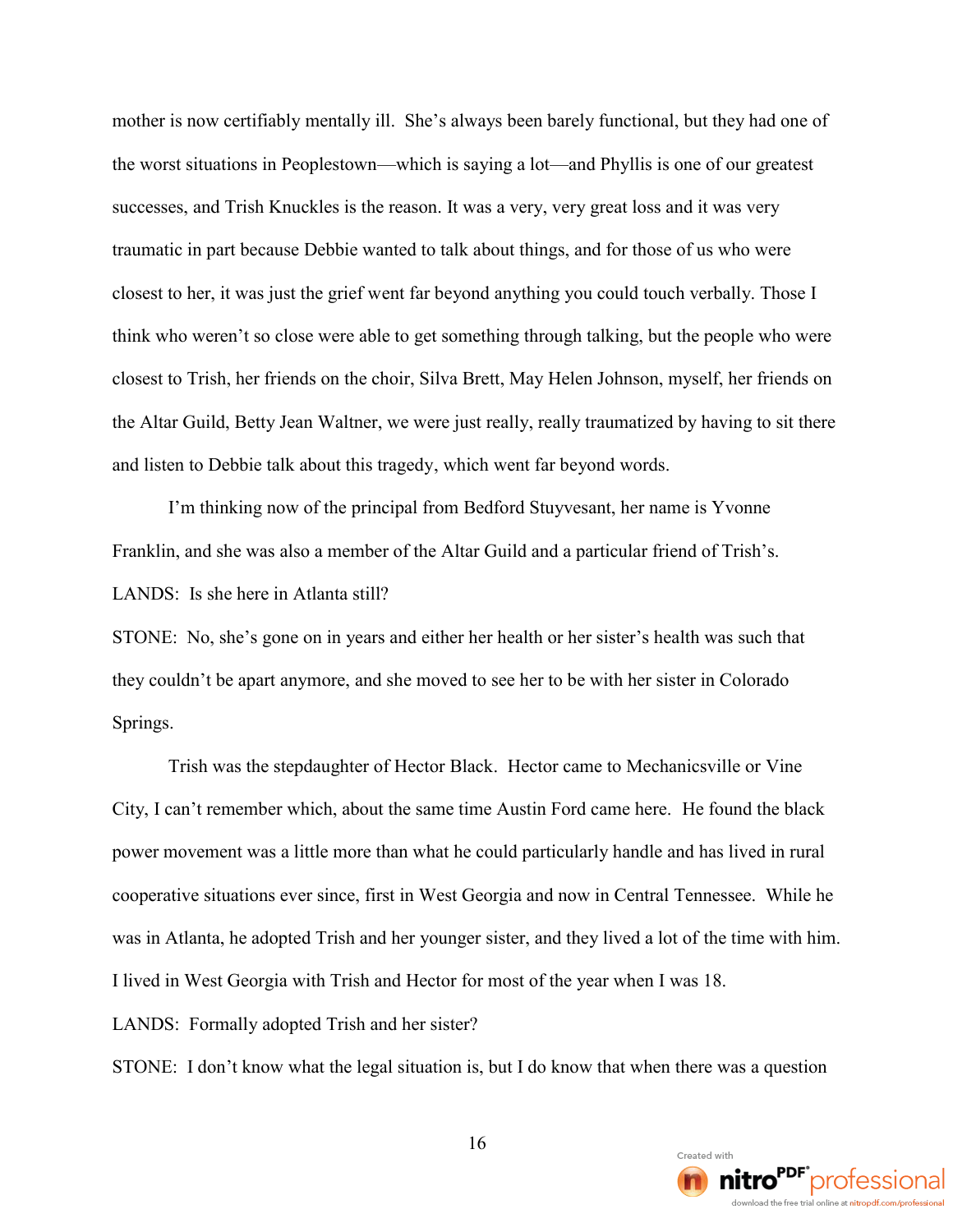mother is now certifiably mentally ill. She's always been barely functional, but they had one of the worst situations in Peoplestown—which is saying a lot—and Phyllis is one of our greatest successes, and Trish Knuckles is the reason. It was a very, very great loss and it was very traumatic in part because Debbie wanted to talk about things, and for those of us who were closest to her, it was just the grief went far beyond anything you could touch verbally. Those I think who weren't so close were able to get something through talking, but the people who were closest to Trish, her friends on the choir, Silva Brett, May Helen Johnson, myself, her friends on the Altar Guild, Betty Jean Waltner, we were just really, really traumatized by having to sit there and listen to Debbie talk about this tragedy, which went far beyond words.

I'm thinking now of the principal from Bedford Stuyvesant, her name is Yvonne Franklin, and she was also a member of the Altar Guild and a particular friend of Trish's. LANDS: Is she here in Atlanta still?

STONE: No, she's gone on in years and either her health or her sister's health was such that they couldn't be apart anymore, and she moved to see her to be with her sister in Colorado Springs.

Trish was the stepdaughter of Hector Black. Hector came to Mechanicsville or Vine City, I can't remember which, about the same time Austin Ford came here. He found the black power movement was a little more than what he could particularly handle and has lived in rural cooperative situations ever since, first in West Georgia and now in Central Tennessee. While he was in Atlanta, he adopted Trish and her younger sister, and they lived a lot of the time with him. I lived in West Georgia with Trish and Hector for most of the year when I was 18.

LANDS: Formally adopted Trish and her sister?

STONE: I don't know what the legal situation is, but I do know that when there was a question

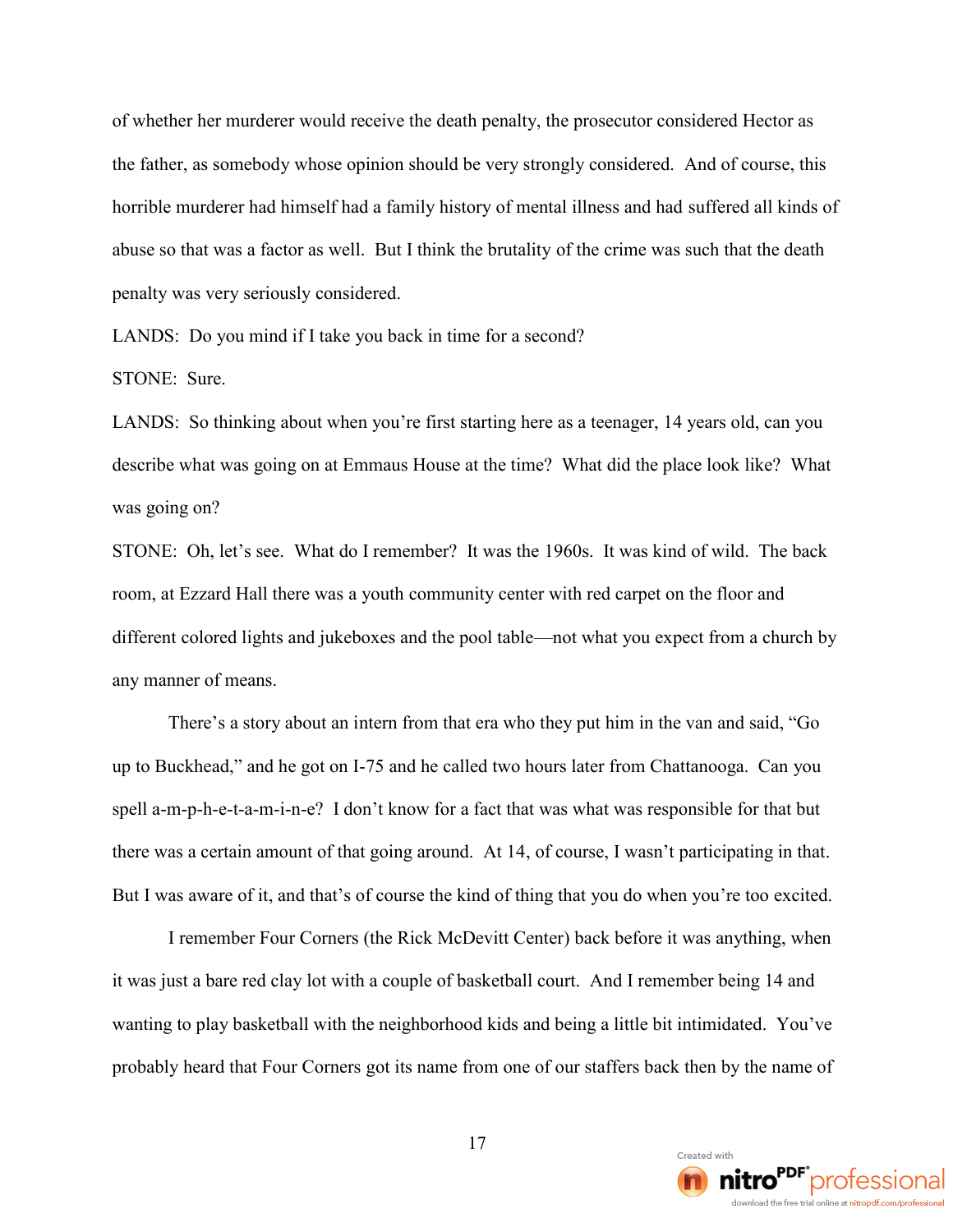of whether her murderer would receive the death penalty, the prosecutor considered Hector as the father, as somebody whose opinion should be very strongly considered. And of course, this horrible murderer had himself had a family history of mental illness and had suffered all kinds of abuse so that was a factor as well. But I think the brutality of the crime was such that the death penalty was very seriously considered.

LANDS: Do you mind if I take you back in time for a second?

STONE: Sure.

LANDS: So thinking about when you're first starting here as a teenager, 14 years old, can you describe what was going on at Emmaus House at the time? What did the place look like? What was going on?

STONE: Oh, let's see. What do I remember? It was the 1960s. It was kind of wild. The back room, at Ezzard Hall there was a youth community center with red carpet on the floor and different colored lights and jukeboxes and the pool table—not what you expect from a church by any manner of means.

There's a story about an intern from that era who they put him in the van and said, "Go up to Buckhead," and he got on I-75 and he called two hours later from Chattanooga. Can you spell a-m-p-h-e-t-a-m-i-n-e? I don't know for a fact that was what was responsible for that but there was a certain amount of that going around. At 14, of course, I wasn't participating in that. But I was aware of it, and that's of course the kind of thing that you do when you're too excited.

I remember Four Corners (the Rick McDevitt Center) back before it was anything, when it was just a bare red clay lot with a couple of basketball court. And I remember being 14 and wanting to play basketball with the neighborhood kids and being a little bit intimidated. You've probably heard that Four Corners got its name from one of our staffers back then by the name of

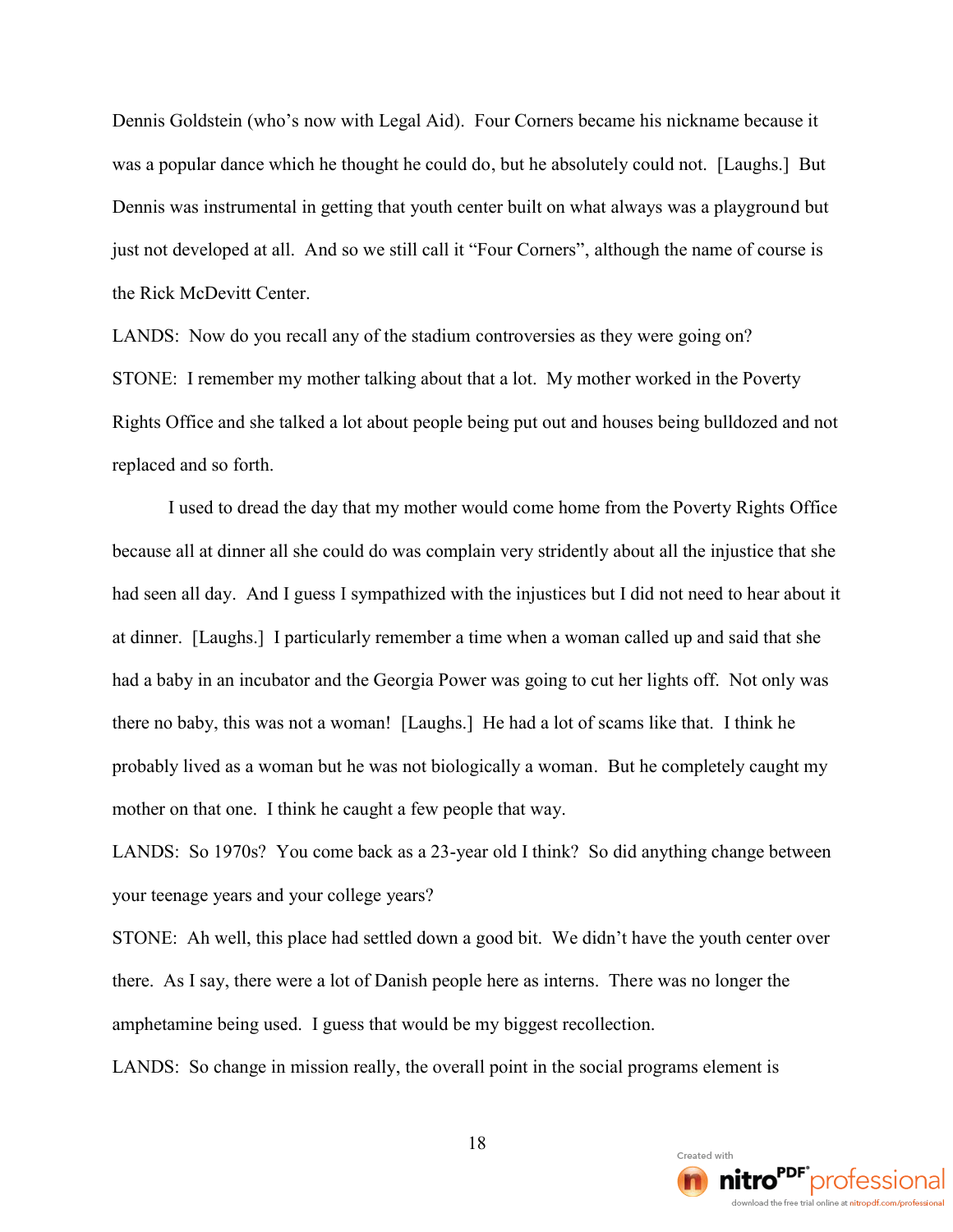Dennis Goldstein (who's now with Legal Aid). Four Corners became his nickname because it was a popular dance which he thought he could do, but he absolutely could not. [Laughs.] But Dennis was instrumental in getting that youth center built on what always was a playground but just not developed at all. And so we still call it "Four Corners", although the name of course is the Rick McDevitt Center.

LANDS: Now do you recall any of the stadium controversies as they were going on? STONE: I remember my mother talking about that a lot. My mother worked in the Poverty Rights Office and she talked a lot about people being put out and houses being bulldozed and not replaced and so forth.

I used to dread the day that my mother would come home from the Poverty Rights Office because all at dinner all she could do was complain very stridently about all the injustice that she had seen all day. And I guess I sympathized with the injustices but I did not need to hear about it at dinner. [Laughs.] I particularly remember a time when a woman called up and said that she had a baby in an incubator and the Georgia Power was going to cut her lights off. Not only was there no baby, this was not a woman! [Laughs.] He had a lot of scams like that. I think he probably lived as a woman but he was not biologically a woman. But he completely caught my mother on that one. I think he caught a few people that way.

LANDS: So 1970s? You come back as a 23-year old I think? So did anything change between your teenage years and your college years?

STONE: Ah well, this place had settled down a good bit. We didn't have the youth center over there. As I say, there were a lot of Danish people here as interns. There was no longer the amphetamine being used. I guess that would be my biggest recollection.

LANDS: So change in mission really, the overall point in the social programs element is

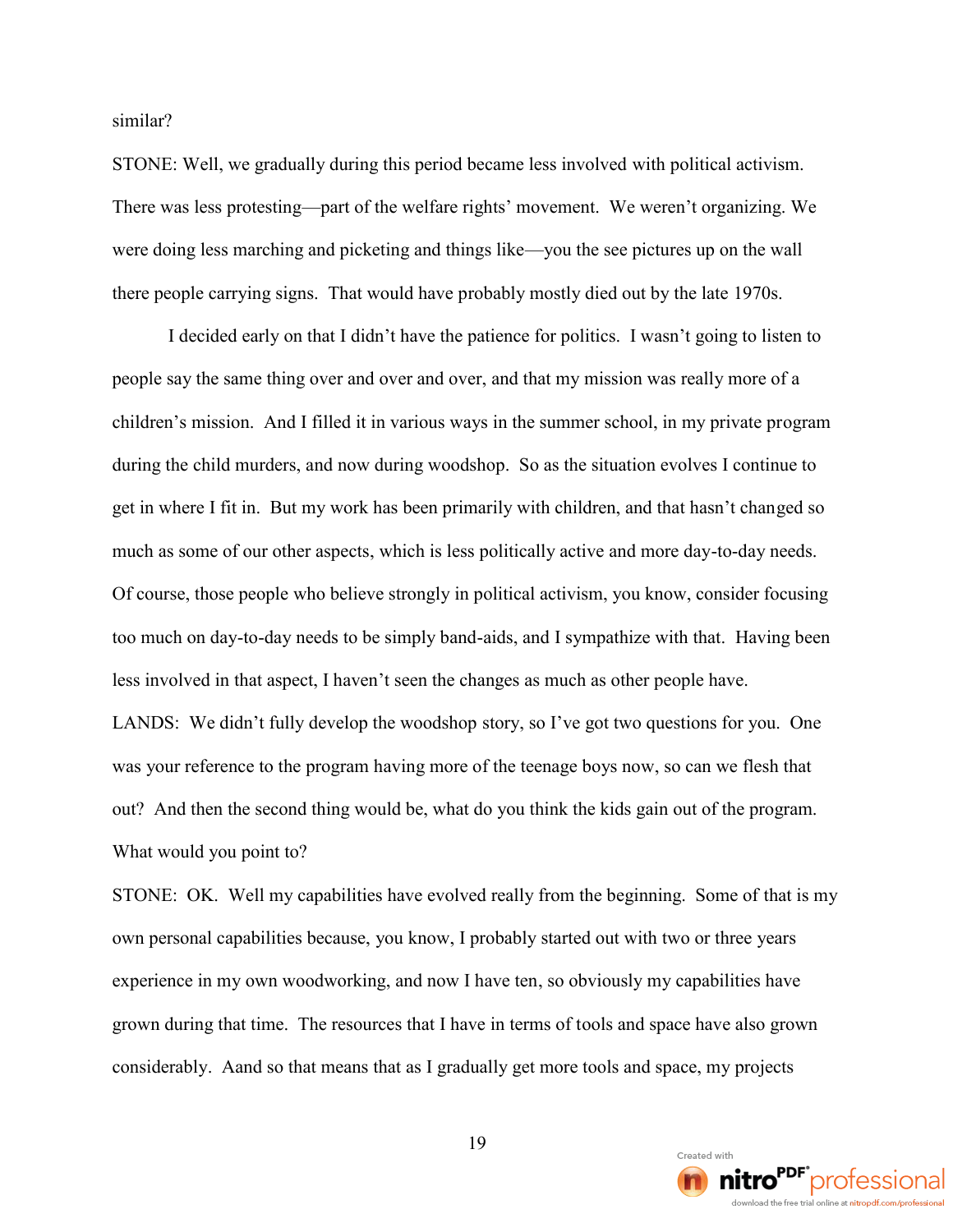similar?

STONE: Well, we gradually during this period became less involved with political activism. There was less protesting—part of the welfare rights' movement. We weren't organizing. We were doing less marching and picketing and things like—you the see pictures up on the wall there people carrying signs. That would have probably mostly died out by the late 1970s.

I decided early on that I didn't have the patience for politics. I wasn't going to listen to people say the same thing over and over and over, and that my mission was really more of a children's mission. And I filled it in various ways in the summer school, in my private program during the child murders, and now during woodshop. So as the situation evolves I continue to get in where I fit in. But my work has been primarily with children, and that hasn't changed so much as some of our other aspects, which is less politically active and more day-to-day needs. Of course, those people who believe strongly in political activism, you know, consider focusing too much on day-to-day needs to be simply band-aids, and I sympathize with that. Having been less involved in that aspect, I haven't seen the changes as much as other people have. LANDS: We didn't fully develop the woodshop story, so I've got two questions for you. One

was your reference to the program having more of the teenage boys now, so can we flesh that out? And then the second thing would be, what do you think the kids gain out of the program. What would you point to?

STONE: OK. Well my capabilities have evolved really from the beginning. Some of that is my own personal capabilities because, you know, I probably started out with two or three years experience in my own woodworking, and now I have ten, so obviously my capabilities have grown during that time. The resources that I have in terms of tools and space have also grown considerably. Aand so that means that as I gradually get more tools and space, my projects

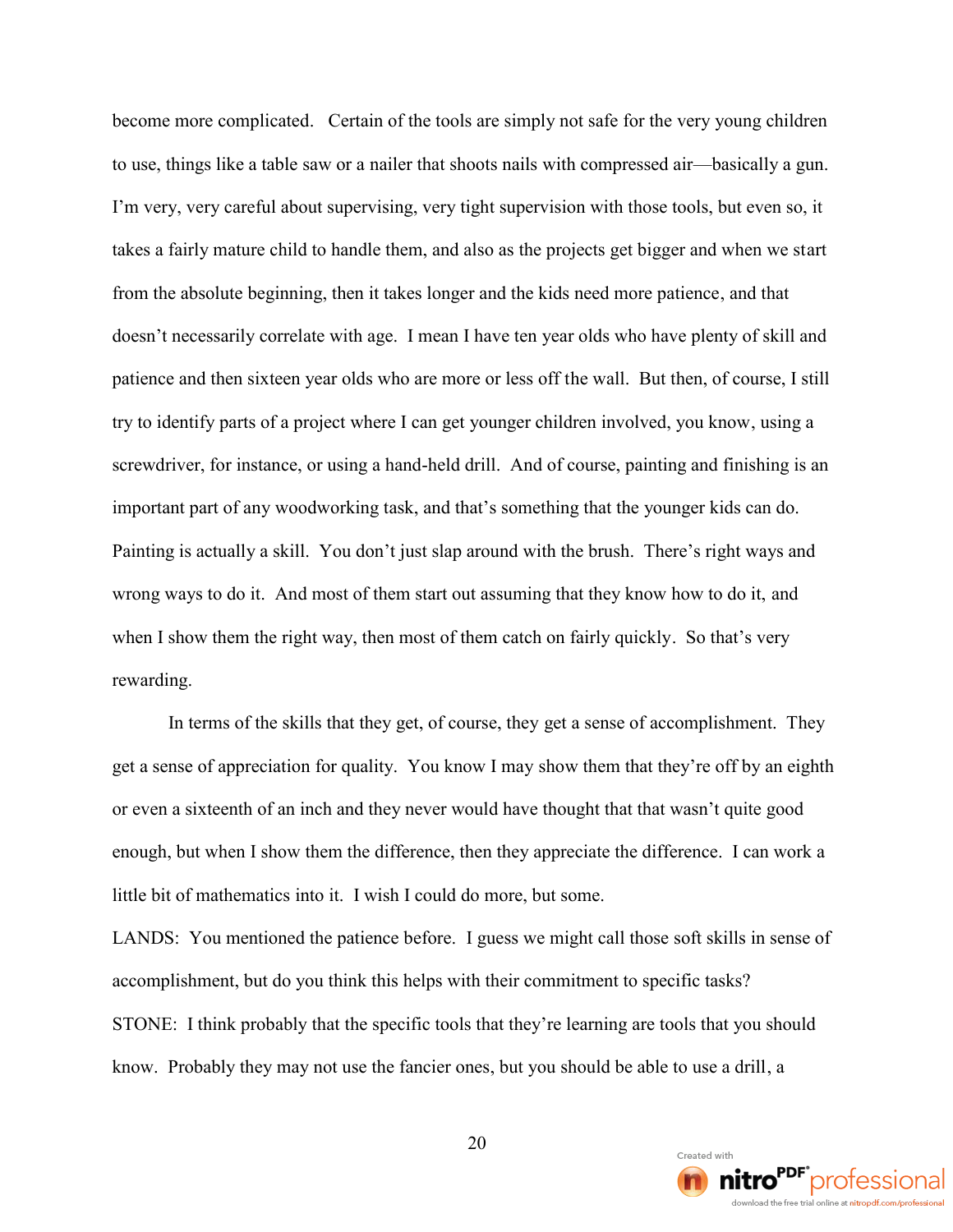become more complicated. Certain of the tools are simply not safe for the very young children to use, things like a table saw or a nailer that shoots nails with compressed air—basically a gun. I'm very, very careful about supervising, very tight supervision with those tools, but even so, it takes a fairly mature child to handle them, and also as the projects get bigger and when we start from the absolute beginning, then it takes longer and the kids need more patience, and that doesn't necessarily correlate with age. I mean I have ten year olds who have plenty of skill and patience and then sixteen year olds who are more or less off the wall. But then, of course, I still try to identify parts of a project where I can get younger children involved, you know, using a screwdriver, for instance, or using a hand-held drill. And of course, painting and finishing is an important part of any woodworking task, and that's something that the younger kids can do. Painting is actually a skill. You don't just slap around with the brush. There's right ways and wrong ways to do it. And most of them start out assuming that they know how to do it, and when I show them the right way, then most of them catch on fairly quickly. So that's very rewarding.

In terms of the skills that they get, of course, they get a sense of accomplishment. They get a sense of appreciation for quality. You know I may show them that they're off by an eighth or even a sixteenth of an inch and they never would have thought that that wasn't quite good enough, but when I show them the difference, then they appreciate the difference. I can work a little bit of mathematics into it. I wish I could do more, but some.

LANDS: You mentioned the patience before. I guess we might call those soft skills in sense of accomplishment, but do you think this helps with their commitment to specific tasks? STONE: I think probably that the specific tools that they're learning are tools that you should know. Probably they may not use the fancier ones, but you should be able to use a drill, a

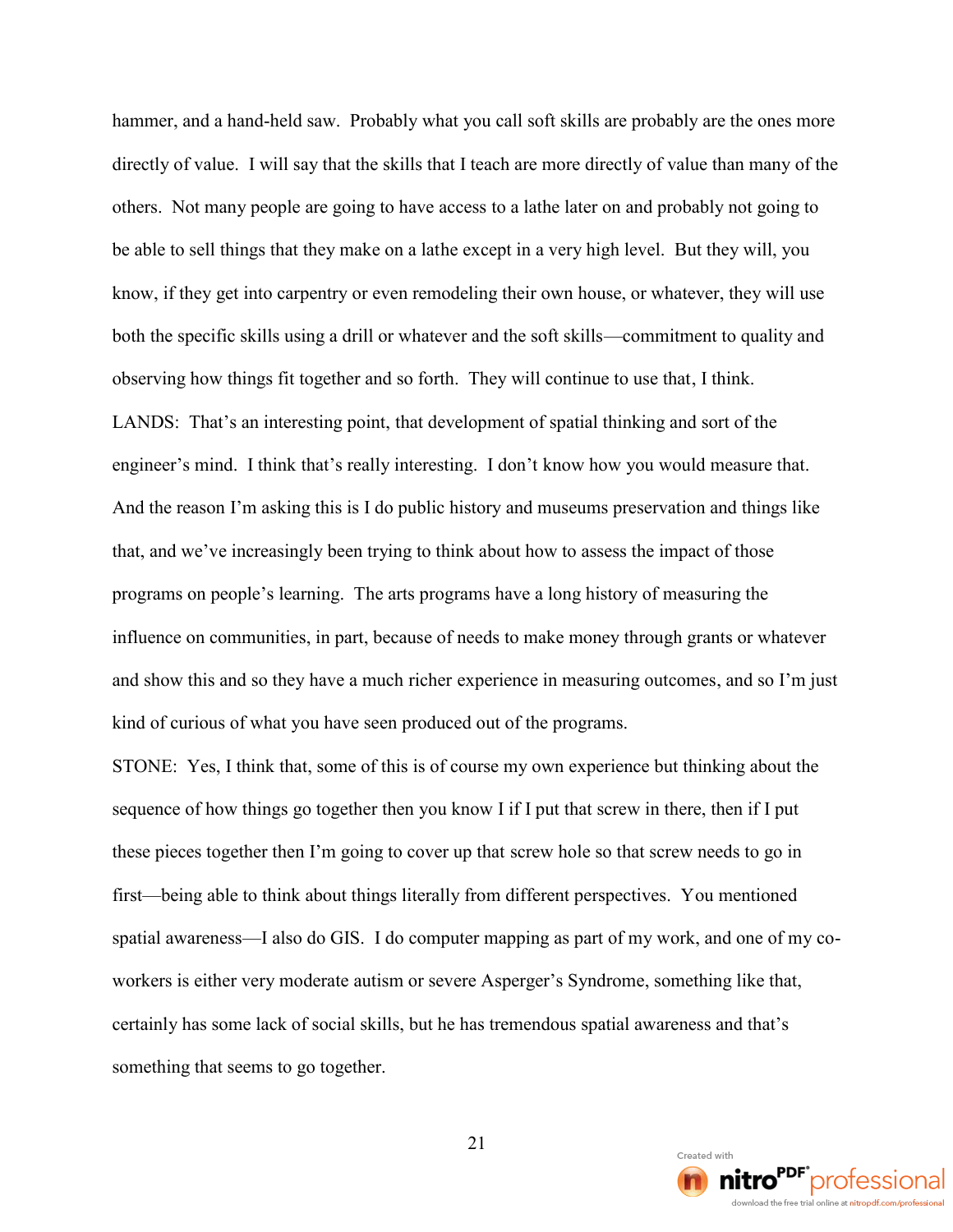hammer, and a hand-held saw. Probably what you call soft skills are probably are the ones more directly of value. I will say that the skills that I teach are more directly of value than many of the others. Not many people are going to have access to a lathe later on and probably not going to be able to sell things that they make on a lathe except in a very high level. But they will, you know, if they get into carpentry or even remodeling their own house, or whatever, they will use both the specific skills using a drill or whatever and the soft skills—commitment to quality and observing how things fit together and so forth. They will continue to use that, I think. LANDS: That's an interesting point, that development of spatial thinking and sort of the engineer's mind. I think that's really interesting. I don't know how you would measure that. And the reason I'm asking this is I do public history and museums preservation and things like that, and we've increasingly been trying to think about how to assess the impact of those programs on people's learning. The arts programs have a long history of measuring the influence on communities, in part, because of needs to make money through grants or whatever and show this and so they have a much richer experience in measuring outcomes, and so I'm just kind of curious of what you have seen produced out of the programs.

STONE: Yes, I think that, some of this is of course my own experience but thinking about the sequence of how things go together then you know I if I put that screw in there, then if I put these pieces together then I'm going to cover up that screw hole so that screw needs to go in first—being able to think about things literally from different perspectives. You mentioned spatial awareness—I also do GIS. I do computer mapping as part of my work, and one of my coworkers is either very moderate autism or severe Asperger's Syndrome, something like that, certainly has some lack of social skills, but he has tremendous spatial awareness and that's something that seems to go together.

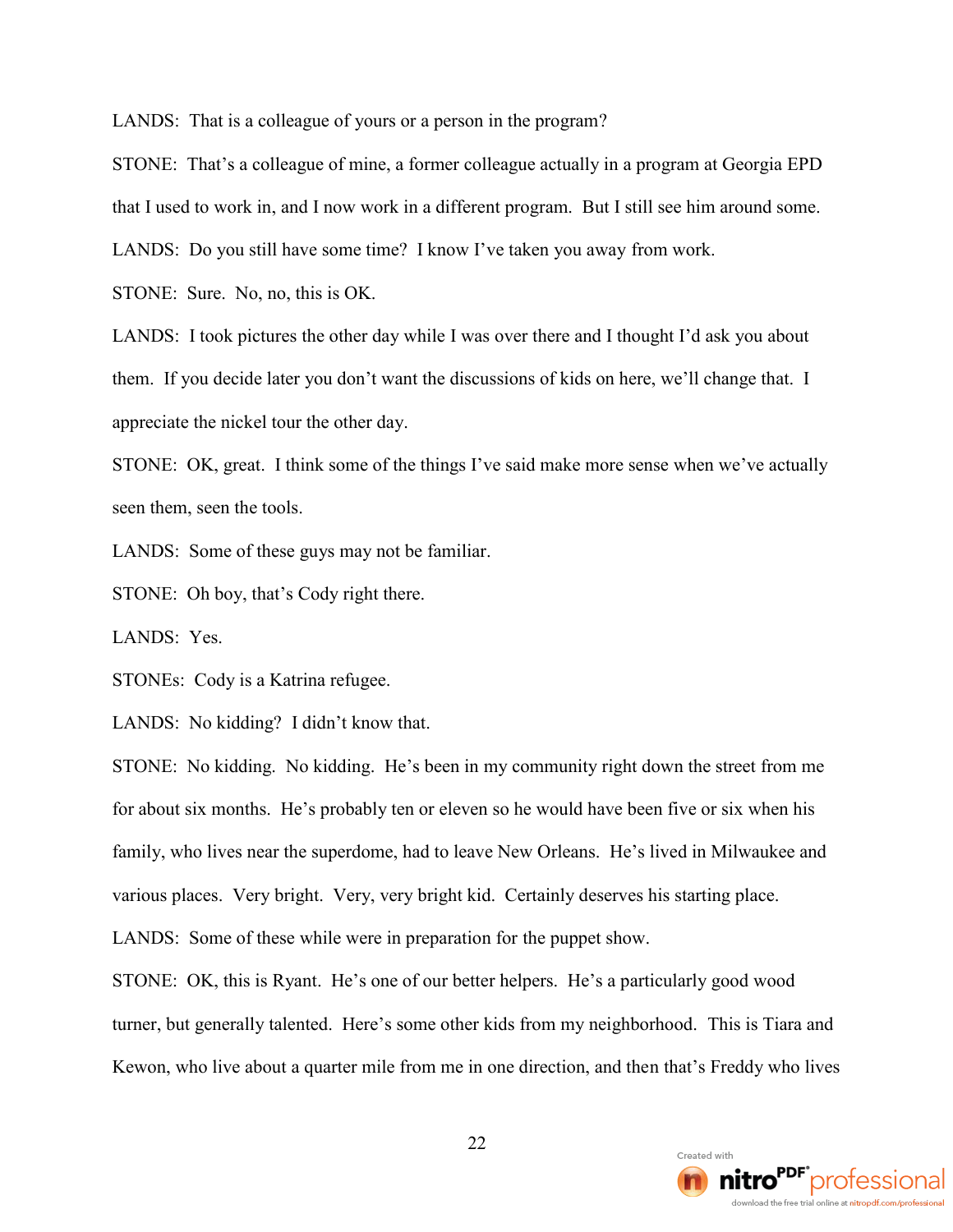LANDS: That is a colleague of yours or a person in the program?

STONE: That's a colleague of mine, a former colleague actually in a program at Georgia EPD

that I used to work in, and I now work in a different program. But I still see him around some.

LANDS: Do you still have some time? I know I've taken you away from work.

STONE: Sure. No, no, this is OK.

LANDS: I took pictures the other day while I was over there and I thought I'd ask you about them. If you decide later you don't want the discussions of kids on here, we'll change that. I appreciate the nickel tour the other day.

STONE: OK, great. I think some of the things I've said make more sense when we've actually seen them, seen the tools.

LANDS: Some of these guys may not be familiar.

STONE: Oh boy, that's Cody right there.

LANDS: Yes.

STONEs: Cody is a Katrina refugee.

LANDS: No kidding? I didn't know that.

STONE: No kidding. No kidding. He's been in my community right down the street from me for about six months. He's probably ten or eleven so he would have been five or six when his family, who lives near the superdome, had to leave New Orleans. He's lived in Milwaukee and various places. Very bright. Very, very bright kid. Certainly deserves his starting place.

LANDS: Some of these while were in preparation for the puppet show.

STONE: OK, this is Ryant. He's one of our better helpers. He's a particularly good wood turner, but generally talented. Here's some other kids from my neighborhood. This is Tiara and Kewon, who live about a quarter mile from me in one direction, and then that's Freddy who lives

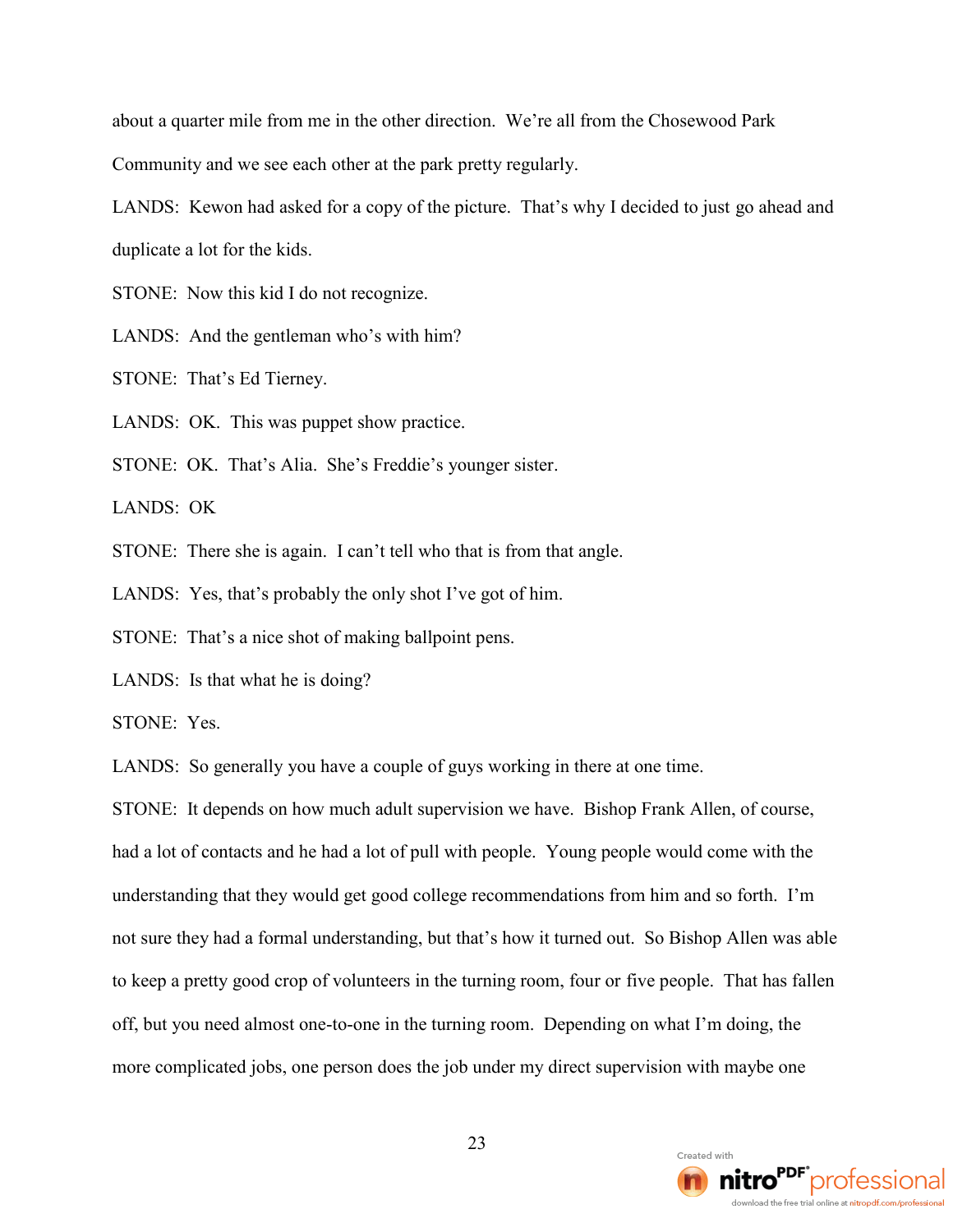about a quarter mile from me in the other direction. We're all from the Chosewood Park Community and we see each other at the park pretty regularly.

LANDS: Kewon had asked for a copy of the picture. That's why I decided to just go ahead and duplicate a lot for the kids.

STONE: Now this kid I do not recognize.

LANDS: And the gentleman who's with him?

STONE: That's Ed Tierney.

LANDS: OK. This was puppet show practice.

STONE: OK. That's Alia. She's Freddie's younger sister.

LANDS: OK

STONE: There she is again. I can't tell who that is from that angle.

LANDS: Yes, that's probably the only shot I've got of him.

STONE: That's a nice shot of making ballpoint pens.

LANDS: Is that what he is doing?

STONE: Yes.

LANDS: So generally you have a couple of guys working in there at one time.

STONE: It depends on how much adult supervision we have. Bishop Frank Allen, of course, had a lot of contacts and he had a lot of pull with people. Young people would come with the understanding that they would get good college recommendations from him and so forth. I'm not sure they had a formal understanding, but that's how it turned out. So Bishop Allen was able to keep a pretty good crop of volunteers in the turning room, four or five people. That has fallen off, but you need almost one-to-one in the turning room. Depending on what I'm doing, the more complicated jobs, one person does the job under my direct supervision with maybe one

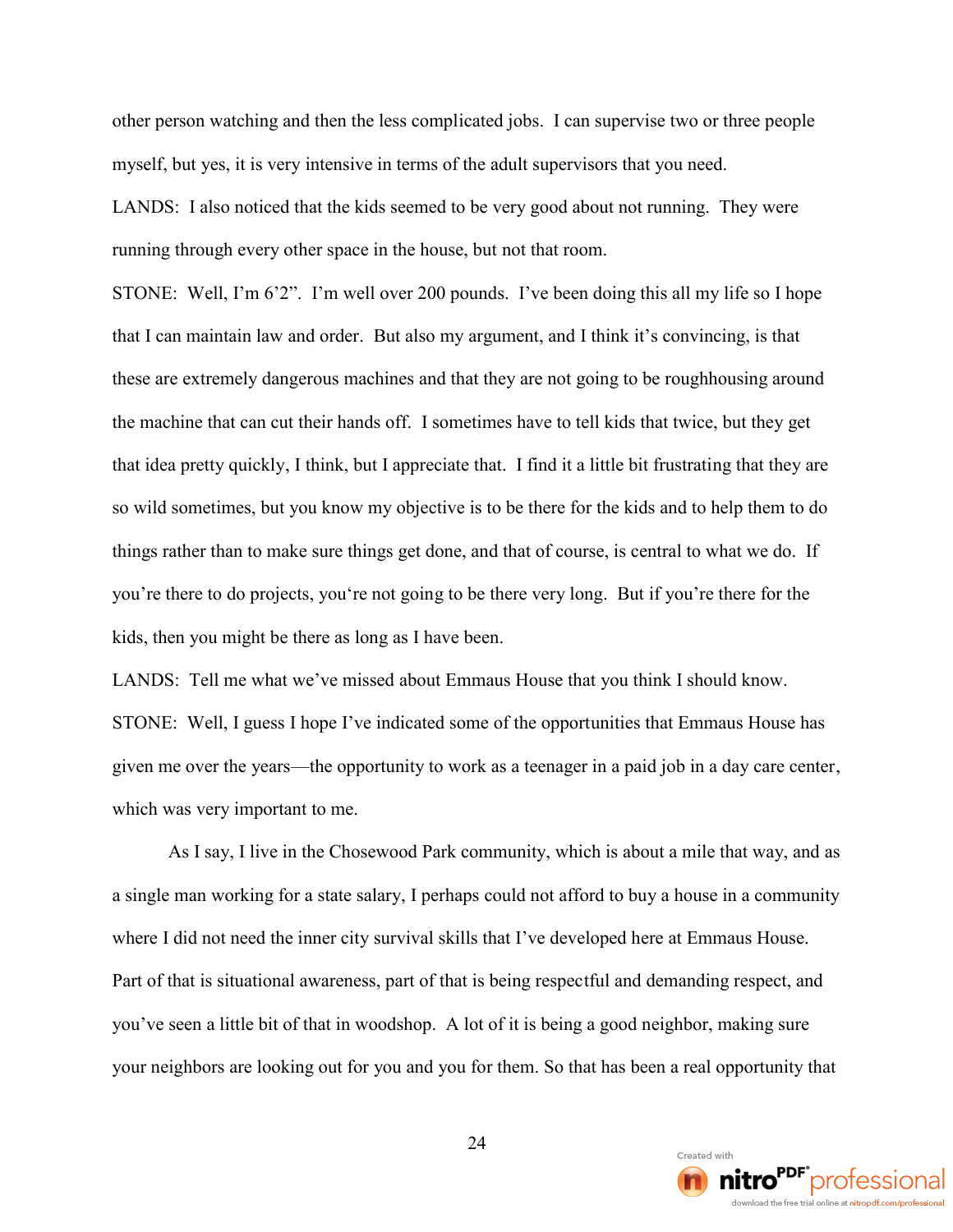other person watching and then the less complicated jobs. I can supervise two or three people myself, but yes, it is very intensive in terms of the adult supervisors that you need.

LANDS: I also noticed that the kids seemed to be very good about not running. They were running through every other space in the house, but not that room.

STONE: Well, I'm 6'2". I'm well over 200 pounds. I've been doing this all my life so I hope that I can maintain law and order. But also my argument, and I think it's convincing, is that these are extremely dangerous machines and that they are not going to be roughhousing around the machine that can cut their hands off. I sometimes have to tell kids that twice, but they get that idea pretty quickly, I think, but I appreciate that. I find it a little bit frustrating that they are so wild sometimes, but you know my objective is to be there for the kids and to help them to do things rather than to make sure things get done, and that of course, is central to what we do. If you're there to do projects, you're not going to be there very long. But if you're there for the kids, then you might be there as long as I have been.

LANDS: Tell me what we've missed about Emmaus House that you think I should know. STONE: Well, I guess I hope I've indicated some of the opportunities that Emmaus House has given me over the years—the opportunity to work as a teenager in a paid job in a day care center, which was very important to me.

As I say, I live in the Chosewood Park community, which is about a mile that way, and as a single man working for a state salary, I perhaps could not afford to buy a house in a community where I did not need the inner city survival skills that I've developed here at Emmaus House. Part of that is situational awareness, part of that is being respectful and demanding respect, and you've seen a little bit of that in woodshop. A lot of it is being a good neighbor, making sure your neighbors are looking out for you and you for them. So that has been a real opportunity that

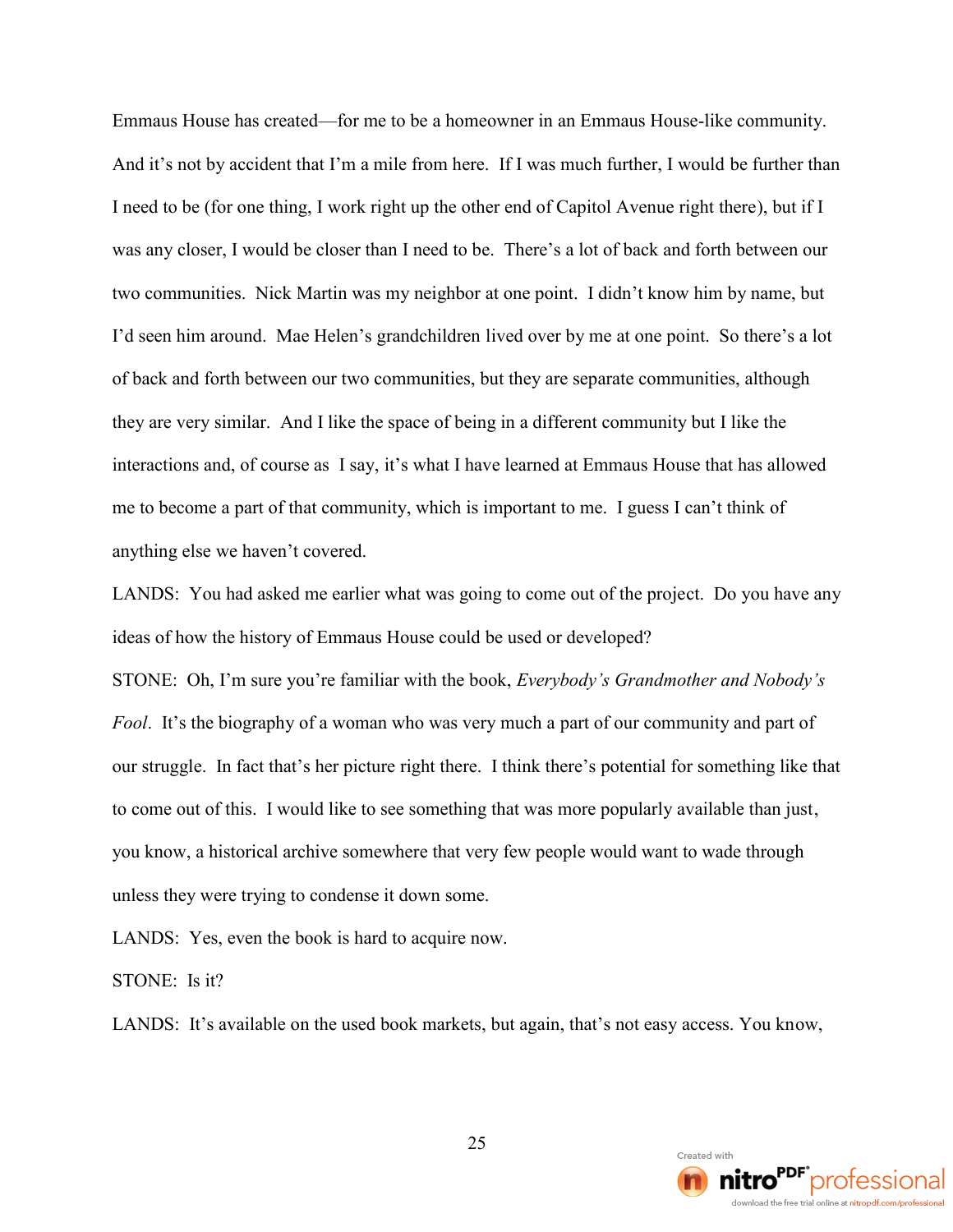Emmaus House has created—for me to be a homeowner in an Emmaus House-like community. And it's not by accident that I'm a mile from here. If I was much further, I would be further than I need to be (for one thing, I work right up the other end of Capitol Avenue right there), but if I was any closer, I would be closer than I need to be. There's a lot of back and forth between our two communities. Nick Martin was my neighbor at one point. I didn't know him by name, but I'd seen him around. Mae Helen's grandchildren lived over by me at one point. So there's a lot of back and forth between our two communities, but they are separate communities, although they are very similar. And I like the space of being in a different community but I like the interactions and, of course as I say, it's what I have learned at Emmaus House that has allowed me to become a part of that community, which is important to me. I guess I can't think of anything else we haven't covered.

LANDS: You had asked me earlier what was going to come out of the project. Do you have any ideas of how the history of Emmaus House could be used or developed?

STONE: Oh, I'm sure you're familiar with the book, *Everybody's Grandmother and Nobody's Fool*. It's the biography of a woman who was very much a part of our community and part of our struggle. In fact that's her picture right there. I think there's potential for something like that to come out of this. I would like to see something that was more popularly available than just, you know, a historical archive somewhere that very few people would want to wade through unless they were trying to condense it down some.

LANDS: Yes, even the book is hard to acquire now.

STONE: Is it?

LANDS: It's available on the used book markets, but again, that's not easy access. You know,